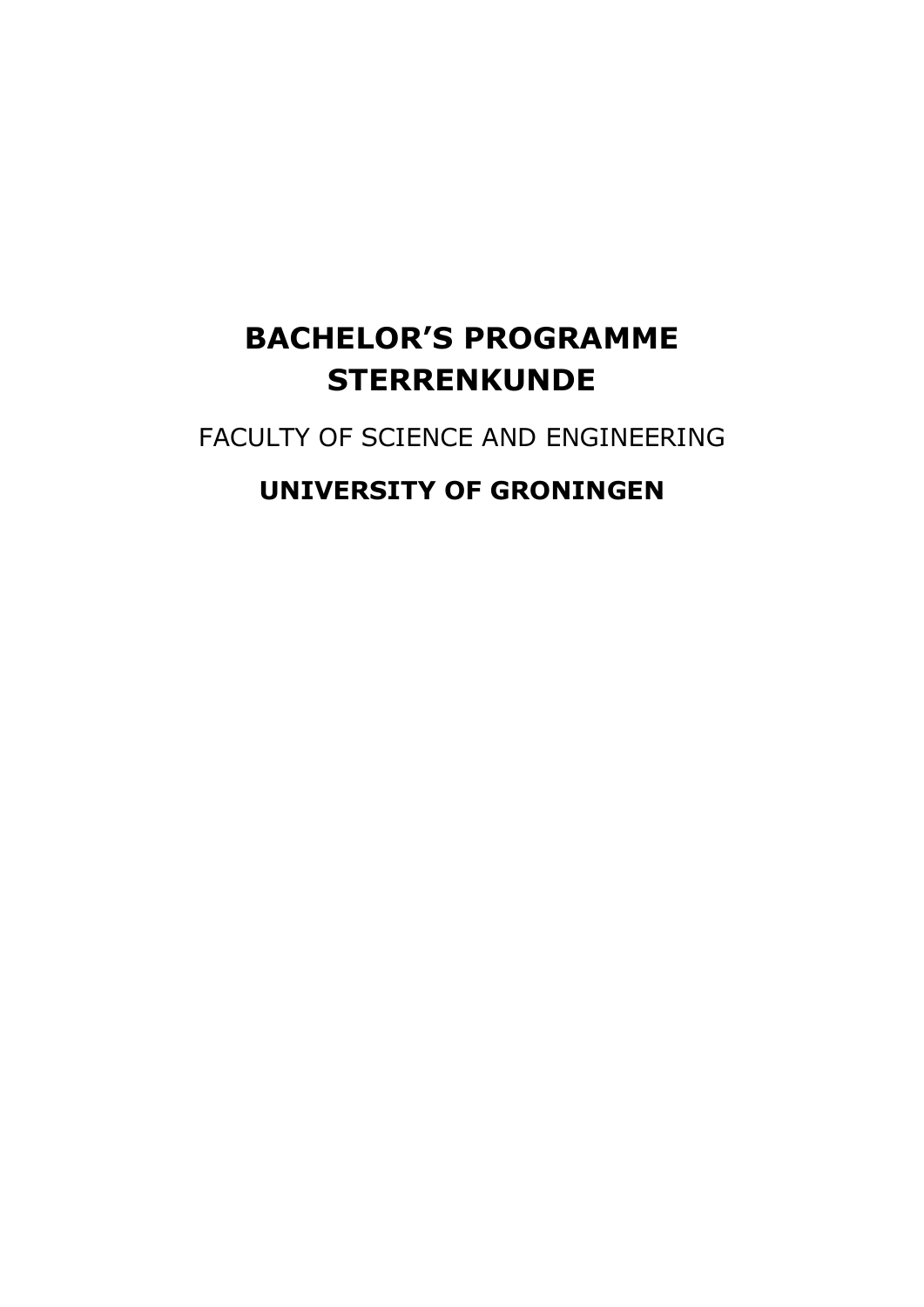# **BACHELOR'S PROGRAMME STERRENKUNDE**

FACULTY OF SCIENCE AND ENGINEERING

# **UNIVERSITY OF GRONINGEN**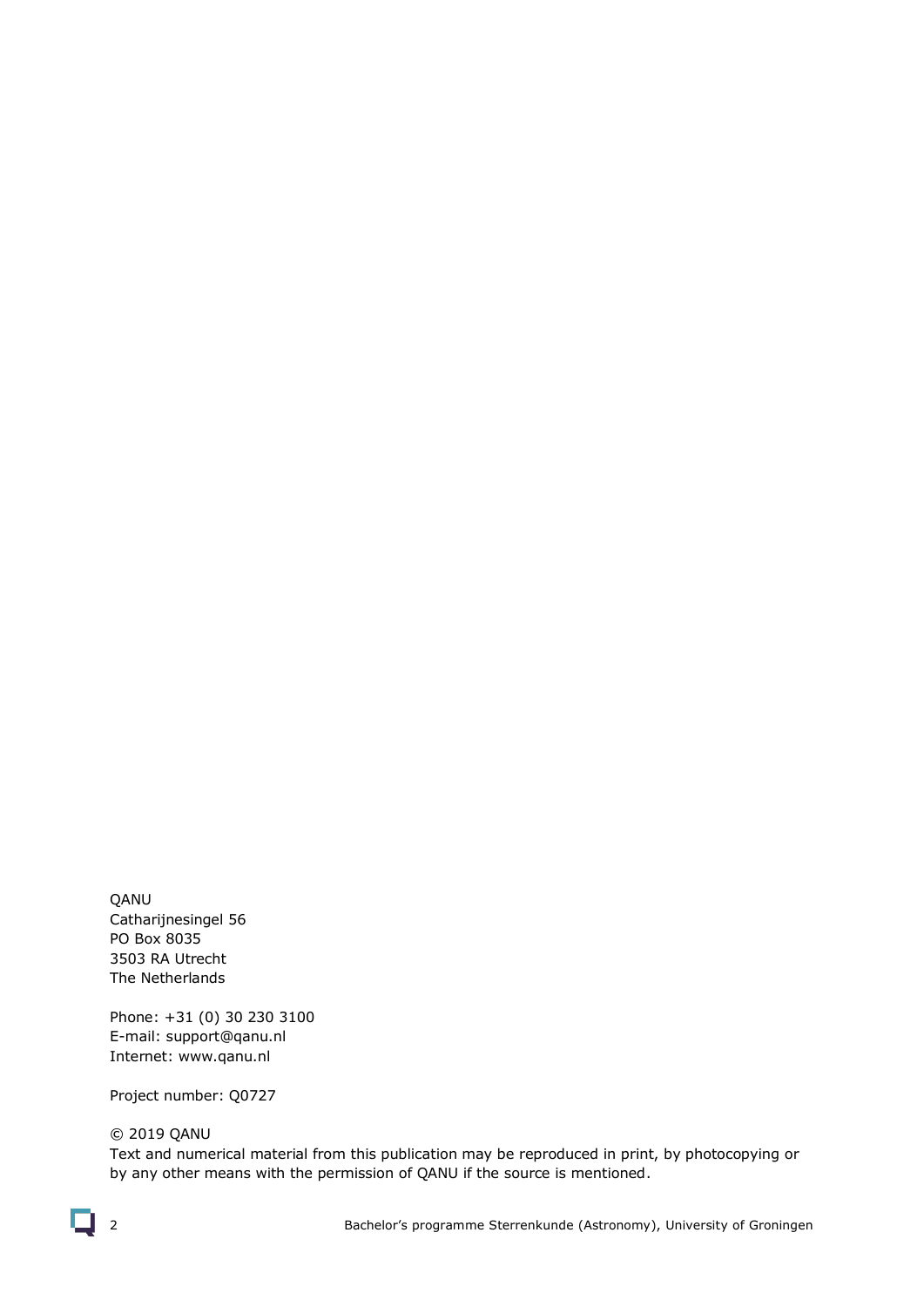QANU Catharijnesingel 56 PO Box 8035 3503 RA Utrecht The Netherlands

Phone: +31 (0) 30 230 3100 E-mail: support@qanu.nl Internet: www.qanu.nl

Project number: Q0727

#### © 2019 QANU

Text and numerical material from this publication may be reproduced in print, by photocopying or by any other means with the permission of QANU if the source is mentioned.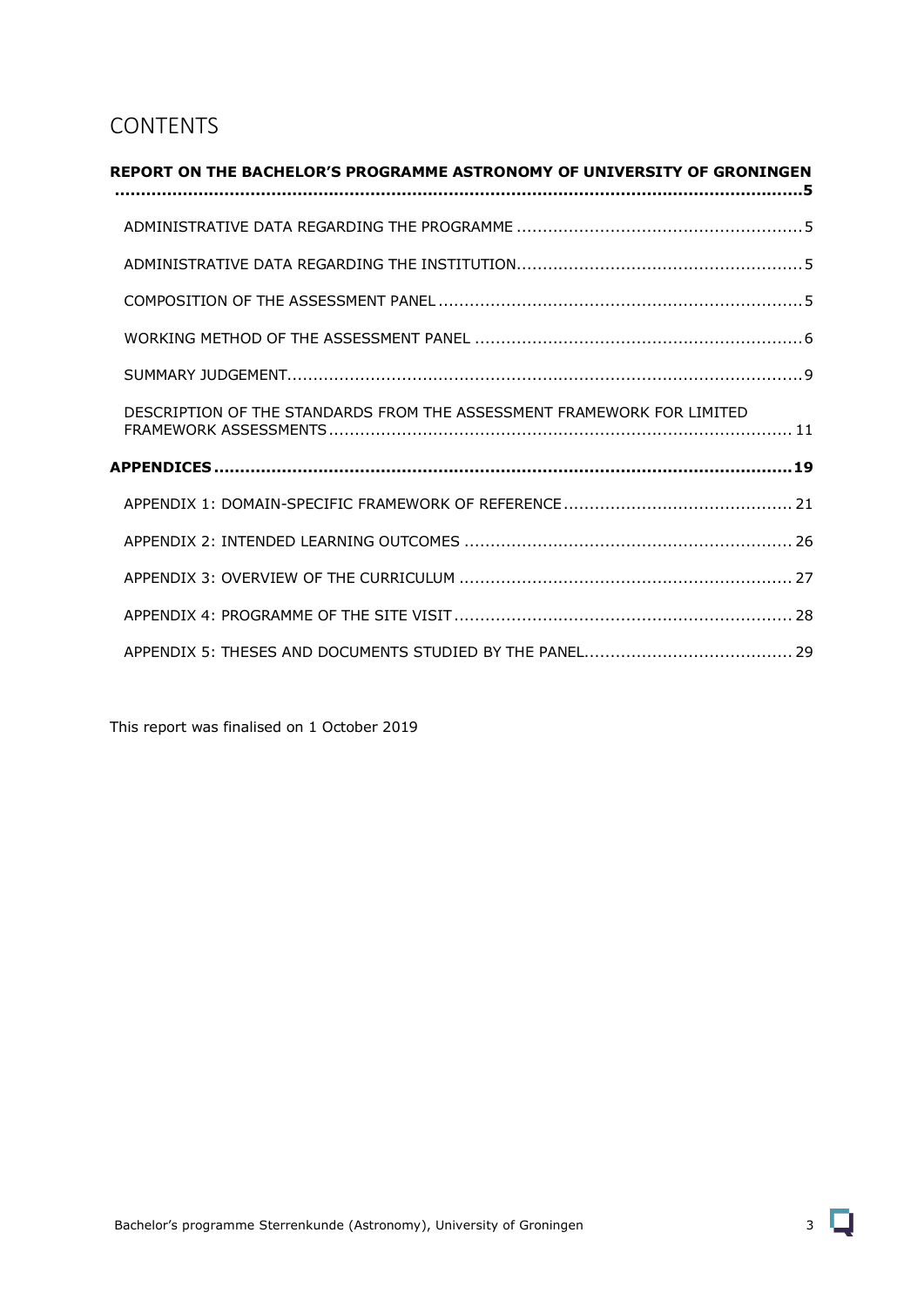### CONTENTS

| REPORT ON THE BACHELOR'S PROGRAMME ASTRONOMY OF UNIVERSITY OF GRONINGEN |
|-------------------------------------------------------------------------|
|                                                                         |
|                                                                         |
|                                                                         |
|                                                                         |
|                                                                         |
| DESCRIPTION OF THE STANDARDS FROM THE ASSESSMENT FRAMEWORK FOR LIMITED  |
|                                                                         |
|                                                                         |
|                                                                         |
|                                                                         |
|                                                                         |
|                                                                         |

This report was finalised on 1 October 2019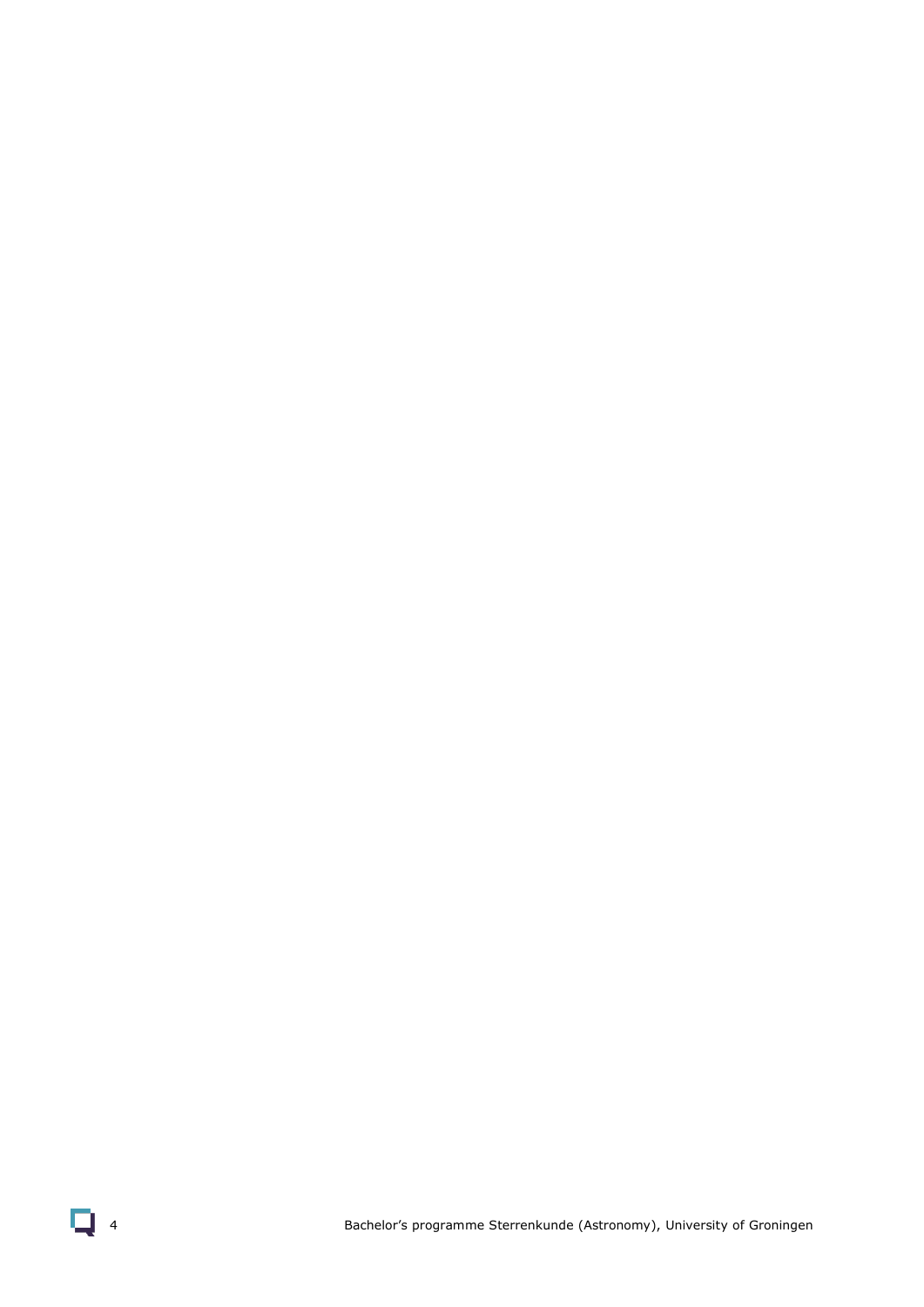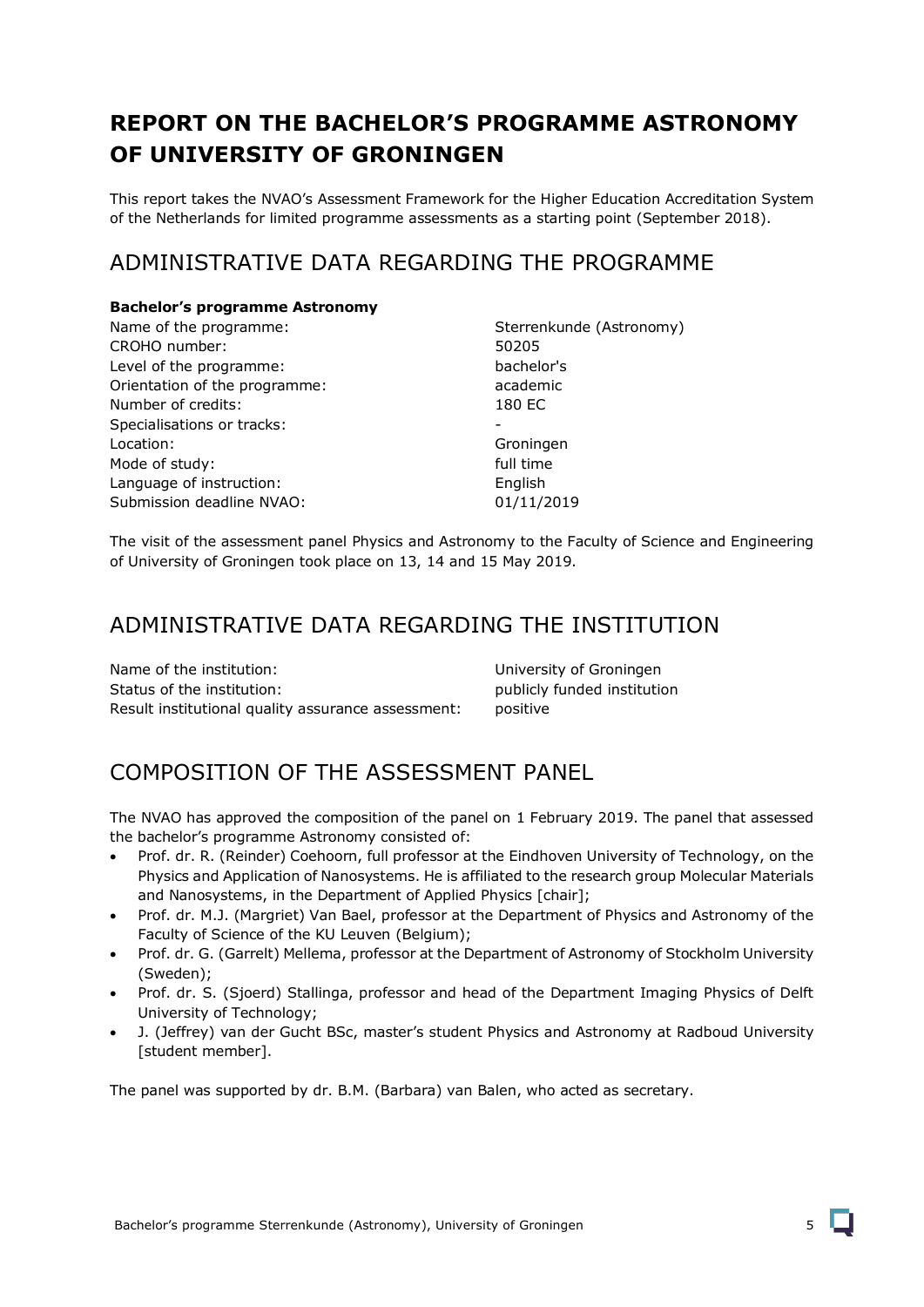## <span id="page-4-0"></span>**REPORT ON THE BACHELOR'S PROGRAMME ASTRONOMY OF UNIVERSITY OF GRONINGEN**

This report takes the NVAO's Assessment Framework for the Higher Education Accreditation System of the Netherlands for limited programme assessments as a starting point (September 2018).

### <span id="page-4-1"></span>ADMINISTRATIVE DATA REGARDING THE PROGRAMME

#### **Bachelor's programme Astronomy**

Name of the programme: Sterrenkunde (Astronomy) CROHO number: 50205 Level of the programme: bachelor's Orientation of the programme: academic Number of credits: 180 EC Specialisations or tracks: Location: Groningen Mode of study: The study: the study of study: Language of instruction: English Submission deadline NVAO: 01/11/2019

The visit of the assessment panel Physics and Astronomy to the Faculty of Science and Engineering of University of Groningen took place on 13, 14 and 15 May 2019.

### <span id="page-4-2"></span>ADMINISTRATIVE DATA REGARDING THE INSTITUTION

Name of the institution: University of Groningen Status of the institution: example in the institution in the status of the institution of the institution of the institution of the institution of the institution of the institution of the institution of the institution of Result institutional quality assurance assessment: positive

### <span id="page-4-3"></span>COMPOSITION OF THE ASSESSMENT PANEL

The NVAO has approved the composition of the panel on 1 February 2019. The panel that assessed the bachelor's programme Astronomy consisted of:

- Prof. dr. R. (Reinder) Coehoorn, full professor at the Eindhoven University of Technology, on the Physics and Application of Nanosystems. He is affiliated to the research group Molecular Materials and Nanosystems, in the Department of Applied Physics [chair];
- Prof. dr. M.J. (Margriet) Van Bael, professor at the Department of Physics and Astronomy of the Faculty of Science of the KU Leuven (Belgium);
- Prof. dr. G. (Garrelt) Mellema, professor at the Department of Astronomy of Stockholm University (Sweden);
- Prof. dr. S. (Sjoerd) Stallinga, professor and head of the Department Imaging Physics of Delft University of Technology;
- J. (Jeffrey) van der Gucht BSc, master's student Physics and Astronomy at Radboud University [student member].

The panel was supported by dr. B.M. (Barbara) van Balen, who acted as secretary.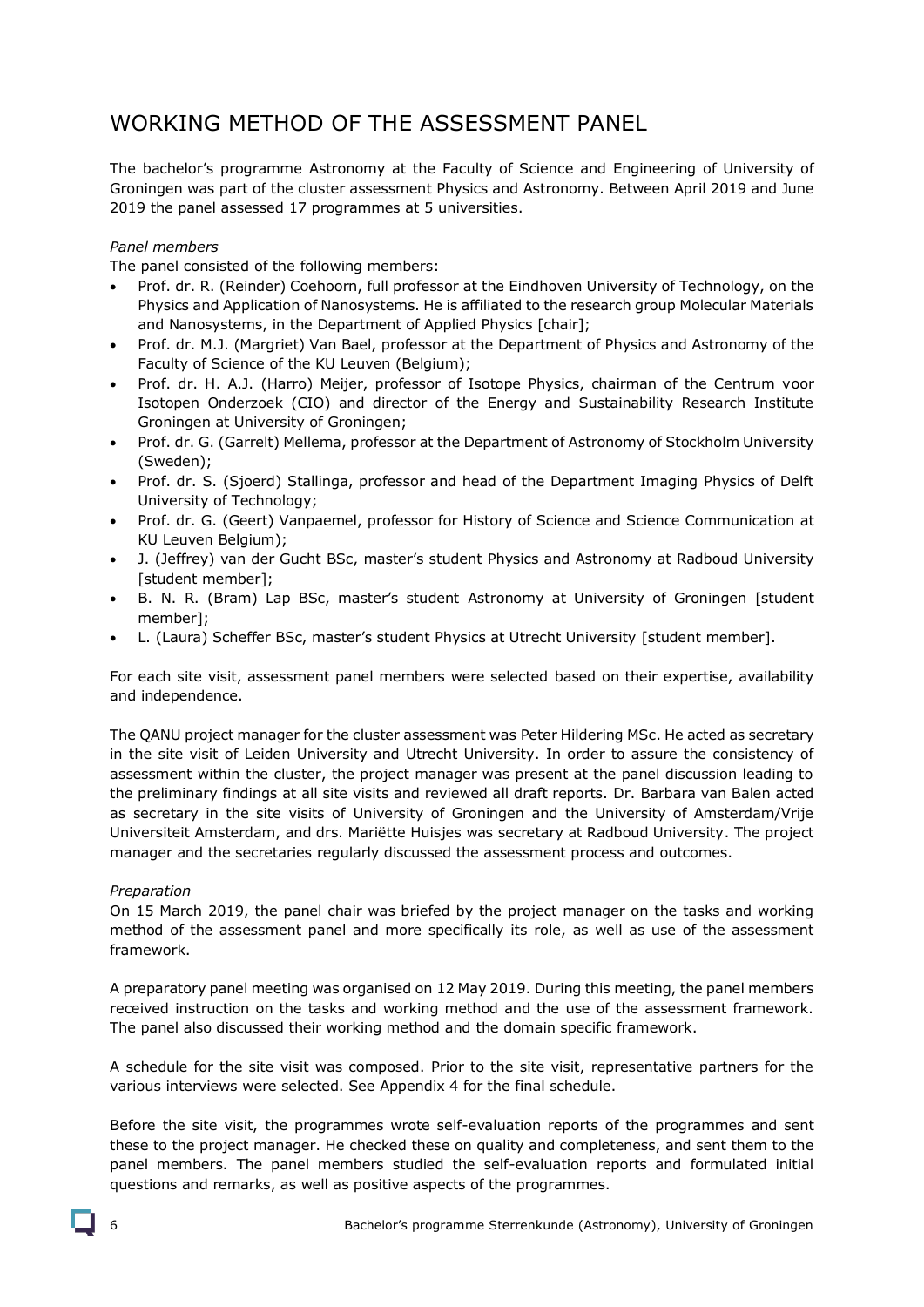### <span id="page-5-0"></span>WORKING METHOD OF THE ASSESSMENT PANEL

The bachelor's programme Astronomy at the Faculty of Science and Engineering of University of Groningen was part of the cluster assessment Physics and Astronomy. Between April 2019 and June 2019 the panel assessed 17 programmes at 5 universities.

#### *Panel members*

The panel consisted of the following members:

- Prof. dr. R. (Reinder) Coehoorn, full professor at the Eindhoven University of Technology, on the Physics and Application of Nanosystems. He is affiliated to the research group Molecular Materials and Nanosystems, in the Department of Applied Physics [chair];
- Prof. dr. M.J. (Margriet) Van Bael, professor at the Department of Physics and Astronomy of the Faculty of Science of the KU Leuven (Belgium);
- Prof. dr. H. A.J. (Harro) Meijer, professor of Isotope Physics, chairman of the Centrum voor Isotopen Onderzoek (CIO) and director of the Energy and Sustainability Research Institute Groningen at University of Groningen;
- Prof. dr. G. (Garrelt) Mellema, professor at the Department of Astronomy of Stockholm University (Sweden);
- Prof. dr. S. (Sjoerd) Stallinga, professor and head of the Department Imaging Physics of Delft University of Technology;
- Prof. dr. G. (Geert) Vanpaemel, professor for History of Science and Science Communication at KU Leuven Belgium);
- J. (Jeffrey) van der Gucht BSc, master's student Physics and Astronomy at Radboud University [student member];
- B. N. R. (Bram) Lap BSc, master's student Astronomy at University of Groningen [student member];
- L. (Laura) Scheffer BSc, master's student Physics at Utrecht University [student member].

For each site visit, assessment panel members were selected based on their expertise, availability and independence.

The QANU project manager for the cluster assessment was Peter Hildering MSc. He acted as secretary in the site visit of Leiden University and Utrecht University. In order to assure the consistency of assessment within the cluster, the project manager was present at the panel discussion leading to the preliminary findings at all site visits and reviewed all draft reports. Dr. Barbara van Balen acted as secretary in the site visits of University of Groningen and the University of Amsterdam/Vrije Universiteit Amsterdam, and drs. Mariëtte Huisjes was secretary at Radboud University. The project manager and the secretaries regularly discussed the assessment process and outcomes.

#### *Preparation*

On 15 March 2019, the panel chair was briefed by the project manager on the tasks and working method of the assessment panel and more specifically its role, as well as use of the assessment framework.

A preparatory panel meeting was organised on 12 May 2019. During this meeting, the panel members received instruction on the tasks and working method and the use of the assessment framework. The panel also discussed their working method and the domain specific framework.

A schedule for the site visit was composed. Prior to the site visit, representative partners for the various interviews were selected. See Appendix 4 for the final schedule.

Before the site visit, the programmes wrote self-evaluation reports of the programmes and sent these to the project manager. He checked these on quality and completeness, and sent them to the panel members. The panel members studied the self-evaluation reports and formulated initial questions and remarks, as well as positive aspects of the programmes.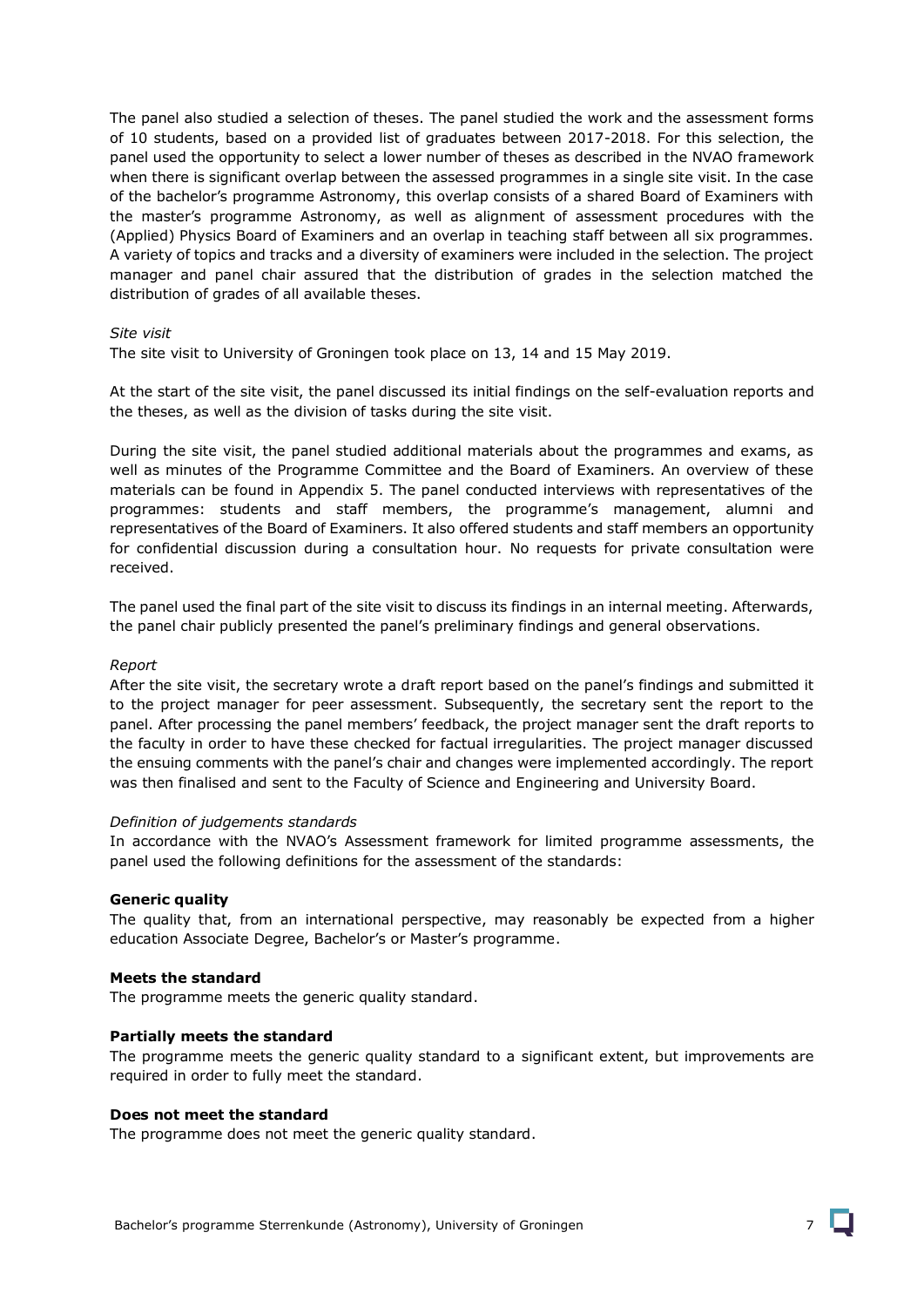The panel also studied a selection of theses. The panel studied the work and the assessment forms of 10 students, based on a provided list of graduates between 2017-2018. For this selection, the panel used the opportunity to select a lower number of theses as described in the NVAO framework when there is significant overlap between the assessed programmes in a single site visit. In the case of the bachelor's programme Astronomy, this overlap consists of a shared Board of Examiners with the master's programme Astronomy, as well as alignment of assessment procedures with the (Applied) Physics Board of Examiners and an overlap in teaching staff between all six programmes. A variety of topics and tracks and a diversity of examiners were included in the selection. The project manager and panel chair assured that the distribution of grades in the selection matched the distribution of grades of all available theses.

#### *Site visit*

The site visit to University of Groningen took place on 13, 14 and 15 May 2019.

At the start of the site visit, the panel discussed its initial findings on the self-evaluation reports and the theses, as well as the division of tasks during the site visit.

During the site visit, the panel studied additional materials about the programmes and exams, as well as minutes of the Programme Committee and the Board of Examiners. An overview of these materials can be found in Appendix 5. The panel conducted interviews with representatives of the programmes: students and staff members, the programme's management, alumni and representatives of the Board of Examiners. It also offered students and staff members an opportunity for confidential discussion during a consultation hour. No requests for private consultation were received.

The panel used the final part of the site visit to discuss its findings in an internal meeting. Afterwards, the panel chair publicly presented the panel's preliminary findings and general observations.

#### *Report*

After the site visit, the secretary wrote a draft report based on the panel's findings and submitted it to the project manager for peer assessment. Subsequently, the secretary sent the report to the panel. After processing the panel members' feedback, the project manager sent the draft reports to the faculty in order to have these checked for factual irregularities. The project manager discussed the ensuing comments with the panel's chair and changes were implemented accordingly. The report was then finalised and sent to the Faculty of Science and Engineering and University Board.

#### *Definition of judgements standards*

In accordance with the NVAO's Assessment framework for limited programme assessments, the panel used the following definitions for the assessment of the standards:

#### **Generic quality**

The quality that, from an international perspective, may reasonably be expected from a higher education Associate Degree, Bachelor's or Master's programme.

#### **Meets the standard**

The programme meets the generic quality standard.

#### **Partially meets the standard**

The programme meets the generic quality standard to a significant extent, but improvements are required in order to fully meet the standard.

#### **Does not meet the standard**

The programme does not meet the generic quality standard.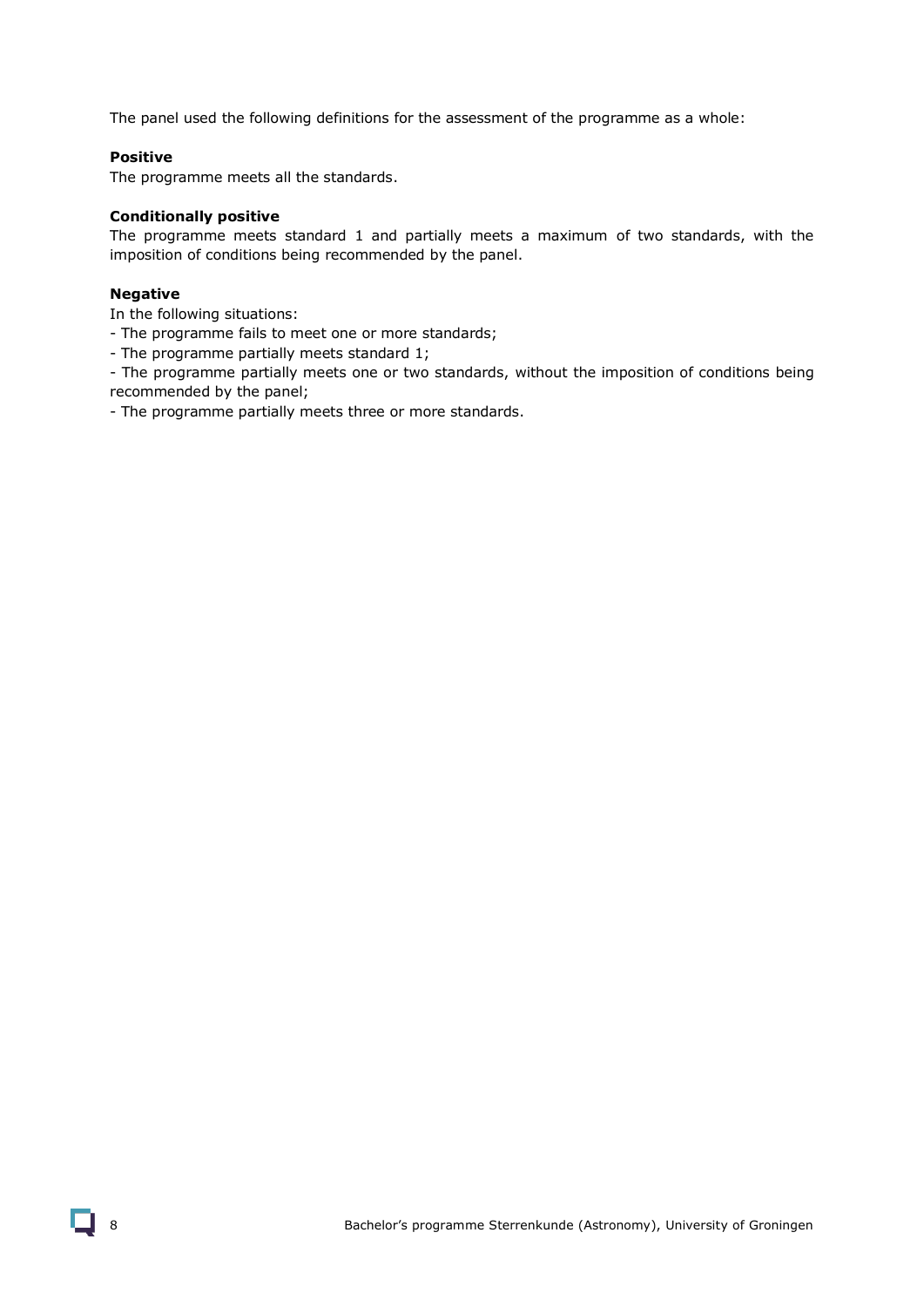The panel used the following definitions for the assessment of the programme as a whole:

#### **Positive**

The programme meets all the standards.

#### **Conditionally positive**

The programme meets standard 1 and partially meets a maximum of two standards, with the imposition of conditions being recommended by the panel.

#### **Negative**

In the following situations:

- The programme fails to meet one or more standards;

- The programme partially meets standard 1;

- The programme partially meets one or two standards, without the imposition of conditions being recommended by the panel;

- The programme partially meets three or more standards.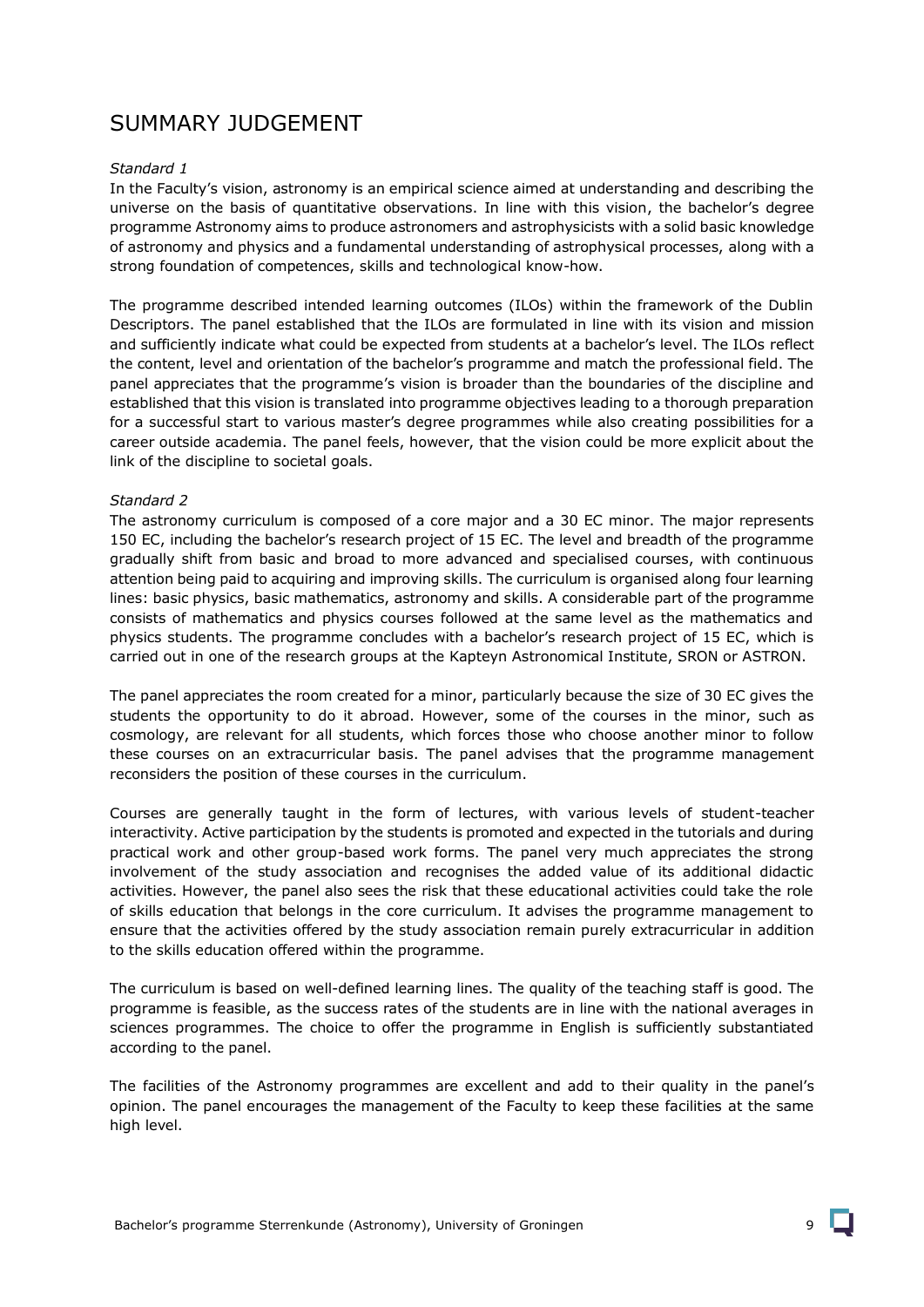### <span id="page-8-0"></span>SUMMARY JUDGEMENT

#### *Standard 1*

In the Faculty's vision, astronomy is an empirical science aimed at understanding and describing the universe on the basis of quantitative observations. In line with this vision, the bachelor's degree programme Astronomy aims to produce astronomers and astrophysicists with a solid basic knowledge of astronomy and physics and a fundamental understanding of astrophysical processes, along with a strong foundation of competences, skills and technological know-how.

The programme described intended learning outcomes (ILOs) within the framework of the Dublin Descriptors. The panel established that the ILOs are formulated in line with its vision and mission and sufficiently indicate what could be expected from students at a bachelor's level. The ILOs reflect the content, level and orientation of the bachelor's programme and match the professional field. The panel appreciates that the programme's vision is broader than the boundaries of the discipline and established that this vision is translated into programme objectives leading to a thorough preparation for a successful start to various master's degree programmes while also creating possibilities for a career outside academia. The panel feels, however, that the vision could be more explicit about the link of the discipline to societal goals.

#### *Standard 2*

The astronomy curriculum is composed of a core major and a 30 EC minor. The major represents 150 EC, including the bachelor's research project of 15 EC. The level and breadth of the programme gradually shift from basic and broad to more advanced and specialised courses, with continuous attention being paid to acquiring and improving skills. The curriculum is organised along four learning lines: basic physics, basic mathematics, astronomy and skills. A considerable part of the programme consists of mathematics and physics courses followed at the same level as the mathematics and physics students. The programme concludes with a bachelor's research project of 15 EC, which is carried out in one of the research groups at the Kapteyn Astronomical Institute, SRON or ASTRON.

The panel appreciates the room created for a minor, particularly because the size of 30 EC gives the students the opportunity to do it abroad. However, some of the courses in the minor, such as cosmology, are relevant for all students, which forces those who choose another minor to follow these courses on an extracurricular basis. The panel advises that the programme management reconsiders the position of these courses in the curriculum.

Courses are generally taught in the form of lectures, with various levels of student-teacher interactivity. Active participation by the students is promoted and expected in the tutorials and during practical work and other group-based work forms. The panel very much appreciates the strong involvement of the study association and recognises the added value of its additional didactic activities. However, the panel also sees the risk that these educational activities could take the role of skills education that belongs in the core curriculum. It advises the programme management to ensure that the activities offered by the study association remain purely extracurricular in addition to the skills education offered within the programme.

The curriculum is based on well-defined learning lines. The quality of the teaching staff is good. The programme is feasible, as the success rates of the students are in line with the national averages in sciences programmes. The choice to offer the programme in English is sufficiently substantiated according to the panel.

The facilities of the Astronomy programmes are excellent and add to their quality in the panel's opinion. The panel encourages the management of the Faculty to keep these facilities at the same high level.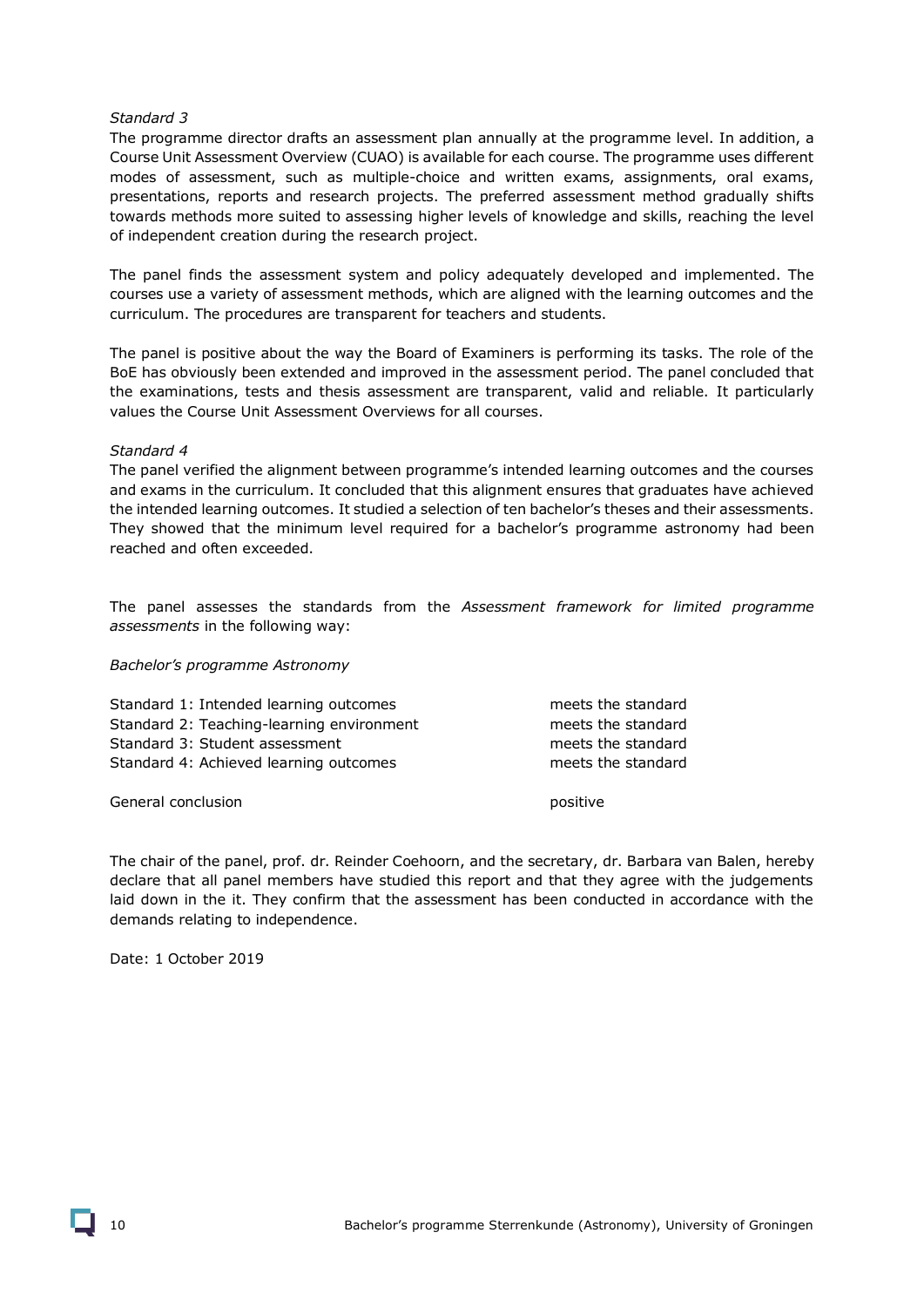#### *Standard 3*

The programme director drafts an assessment plan annually at the programme level. In addition, a Course Unit Assessment Overview (CUAO) is available for each course. The programme uses different modes of assessment, such as multiple-choice and written exams, assignments, oral exams, presentations, reports and research projects. The preferred assessment method gradually shifts towards methods more suited to assessing higher levels of knowledge and skills, reaching the level of independent creation during the research project.

The panel finds the assessment system and policy adequately developed and implemented. The courses use a variety of assessment methods, which are aligned with the learning outcomes and the curriculum. The procedures are transparent for teachers and students.

The panel is positive about the way the Board of Examiners is performing its tasks. The role of the BoE has obviously been extended and improved in the assessment period. The panel concluded that the examinations, tests and thesis assessment are transparent, valid and reliable. It particularly values the Course Unit Assessment Overviews for all courses.

#### *Standard 4*

The panel verified the alignment between programme's intended learning outcomes and the courses and exams in the curriculum. It concluded that this alignment ensures that graduates have achieved the intended learning outcomes. It studied a selection of ten bachelor's theses and their assessments. They showed that the minimum level required for a bachelor's programme astronomy had been reached and often exceeded.

The panel assesses the standards from the *Assessment framework for limited programme assessments* in the following way:

#### *Bachelor's programme Astronomy*

| Standard 1: Intended learning outcomes    | meets the standard |
|-------------------------------------------|--------------------|
| Standard 2: Teaching-learning environment | meets the standard |
| Standard 3: Student assessment            | meets the standard |
| Standard 4: Achieved learning outcomes    | meets the standard |
| General conclusion                        | positive           |

The chair of the panel, prof. dr. Reinder Coehoorn, and the secretary, dr. Barbara van Balen, hereby declare that all panel members have studied this report and that they agree with the judgements laid down in the it. They confirm that the assessment has been conducted in accordance with the demands relating to independence.

Date: 1 October 2019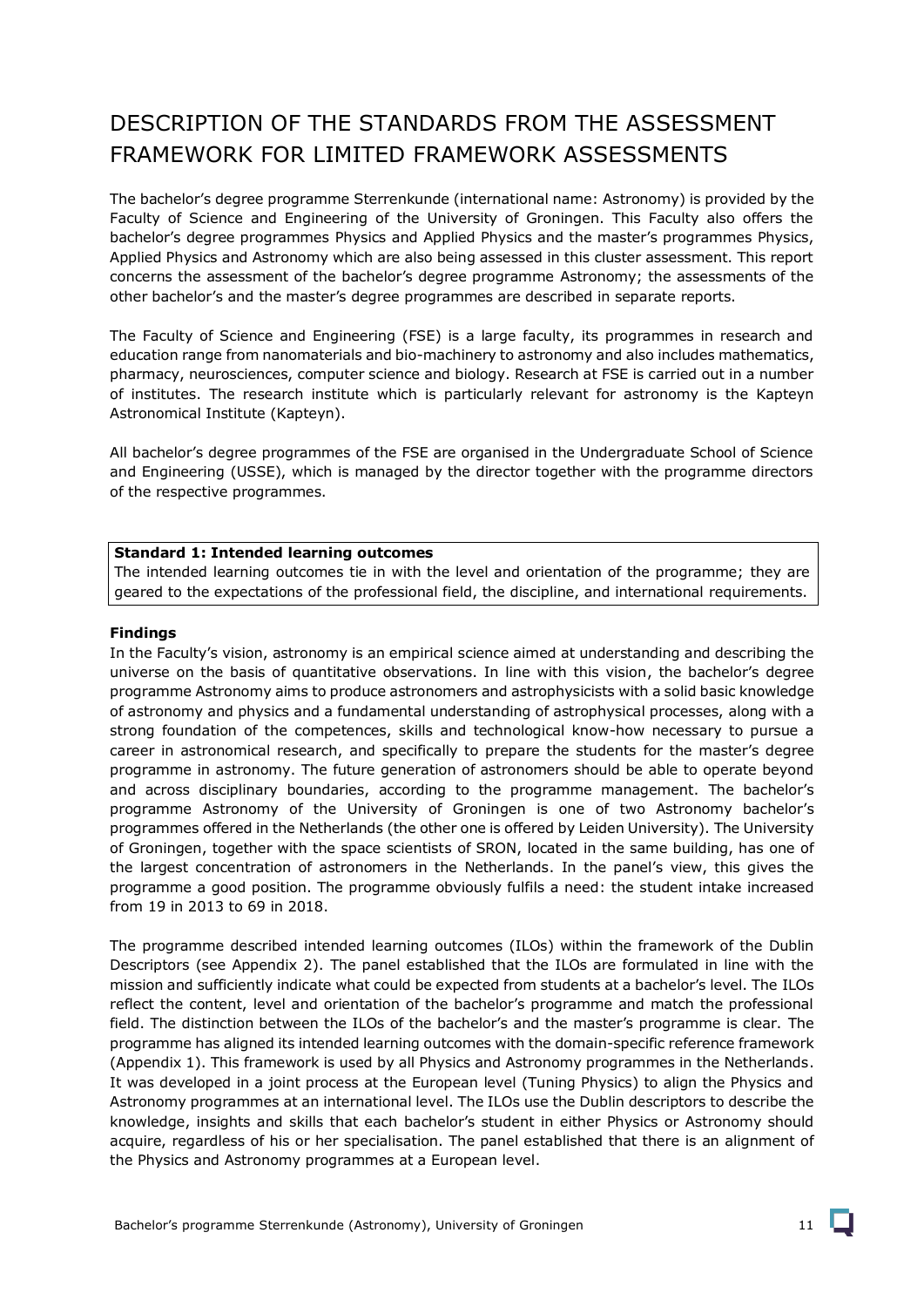### <span id="page-10-0"></span>DESCRIPTION OF THE STANDARDS FROM THE ASSESSMENT FRAMEWORK FOR LIMITED FRAMEWORK ASSESSMENTS

The bachelor's degree programme Sterrenkunde (international name: Astronomy) is provided by the Faculty of Science and Engineering of the University of Groningen. This Faculty also offers the bachelor's degree programmes Physics and Applied Physics and the master's programmes Physics, Applied Physics and Astronomy which are also being assessed in this cluster assessment. This report concerns the assessment of the bachelor's degree programme Astronomy; the assessments of the other bachelor's and the master's degree programmes are described in separate reports.

The Faculty of Science and Engineering (FSE) is a large faculty, its programmes in research and education range from nanomaterials and bio-machinery to astronomy and also includes mathematics, pharmacy, neurosciences, computer science and biology. Research at FSE is carried out in a number of institutes. The research institute which is particularly relevant for astronomy is the Kapteyn Astronomical Institute (Kapteyn).

All bachelor's degree programmes of the FSE are organised in the Undergraduate School of Science and Engineering (USSE), which is managed by the director together with the programme directors of the respective programmes.

#### **Standard 1: Intended learning outcomes**

The intended learning outcomes tie in with the level and orientation of the programme; they are geared to the expectations of the professional field, the discipline, and international requirements.

#### **Findings**

In the Faculty's vision, astronomy is an empirical science aimed at understanding and describing the universe on the basis of quantitative observations. In line with this vision, the bachelor's degree programme Astronomy aims to produce astronomers and astrophysicists with a solid basic knowledge of astronomy and physics and a fundamental understanding of astrophysical processes, along with a strong foundation of the competences, skills and technological know-how necessary to pursue a career in astronomical research, and specifically to prepare the students for the master's degree programme in astronomy. The future generation of astronomers should be able to operate beyond and across disciplinary boundaries, according to the programme management. The bachelor's programme Astronomy of the University of Groningen is one of two Astronomy bachelor's programmes offered in the Netherlands (the other one is offered by Leiden University). The University of Groningen, together with the space scientists of SRON, located in the same building, has one of the largest concentration of astronomers in the Netherlands. In the panel's view, this gives the programme a good position. The programme obviously fulfils a need: the student intake increased from 19 in 2013 to 69 in 2018.

The programme described intended learning outcomes (ILOs) within the framework of the Dublin Descriptors (see Appendix 2). The panel established that the ILOs are formulated in line with the mission and sufficiently indicate what could be expected from students at a bachelor's level. The ILOs reflect the content, level and orientation of the bachelor's programme and match the professional field. The distinction between the ILOs of the bachelor's and the master's programme is clear. The programme has aligned its intended learning outcomes with the domain-specific reference framework (Appendix 1). This framework is used by all Physics and Astronomy programmes in the Netherlands. It was developed in a joint process at the European level (Tuning Physics) to align the Physics and Astronomy programmes at an international level. The ILOs use the Dublin descriptors to describe the knowledge, insights and skills that each bachelor's student in either Physics or Astronomy should acquire, regardless of his or her specialisation. The panel established that there is an alignment of the Physics and Astronomy programmes at a European level.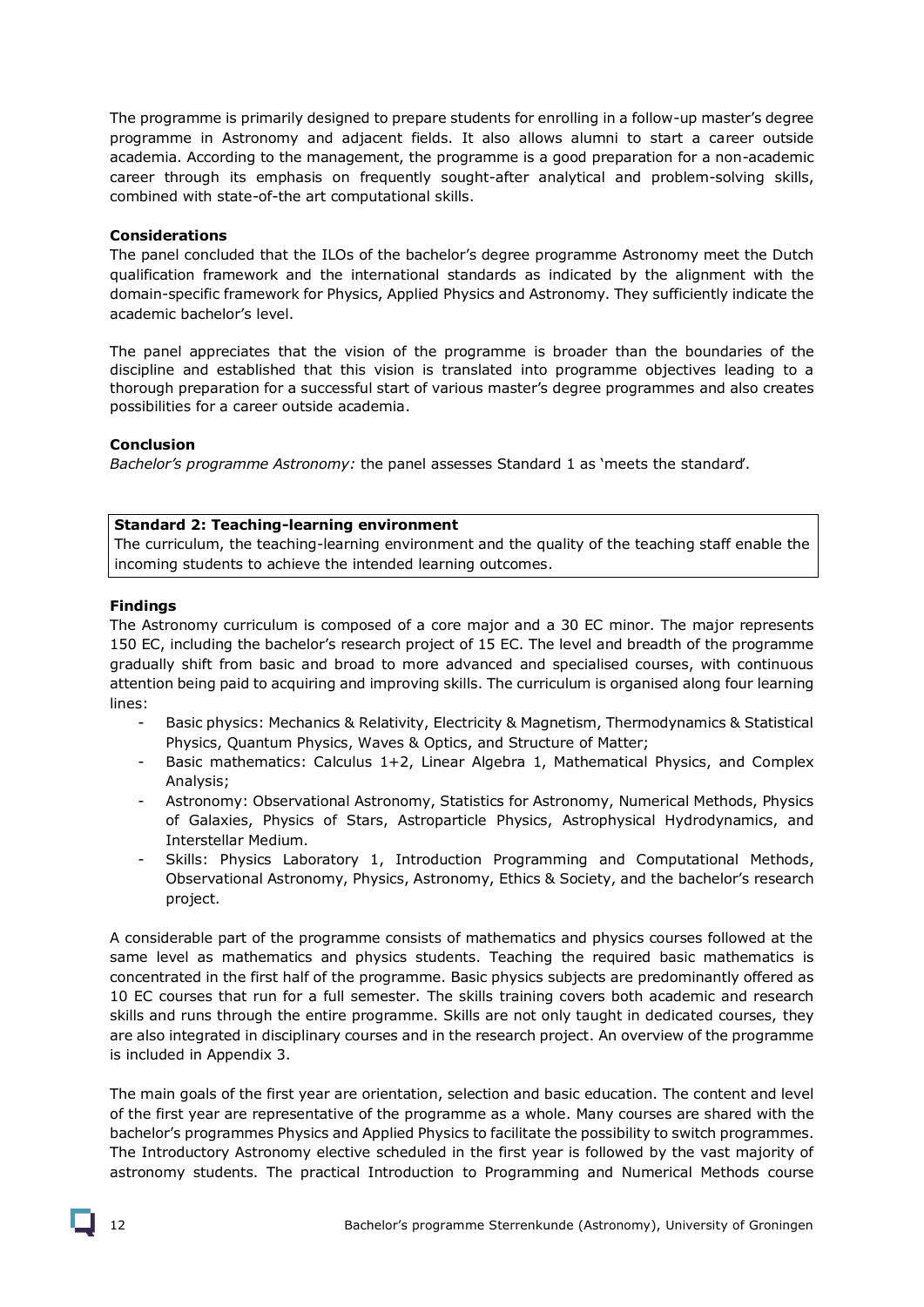The programme is primarily designed to prepare students for enrolling in a follow-up master's degree programme in Astronomy and adjacent fields. It also allows alumni to start a career outside academia. According to the management, the programme is a good preparation for a non-academic career through its emphasis on frequently sought-after analytical and problem-solving skills, combined with state-of-the art computational skills.

#### **Considerations**

The panel concluded that the ILOs of the bachelor's degree programme Astronomy meet the Dutch qualification framework and the international standards as indicated by the alignment with the domain-specific framework for Physics, Applied Physics and Astronomy. They sufficiently indicate the academic bachelor's level.

The panel appreciates that the vision of the programme is broader than the boundaries of the discipline and established that this vision is translated into programme objectives leading to a thorough preparation for a successful start of various master's degree programmes and also creates possibilities for a career outside academia.

#### **Conclusion**

*Bachelor's programme Astronomy:* the panel assesses Standard 1 as 'meets the standard'.

#### **Standard 2: Teaching-learning environment**

The curriculum, the teaching-learning environment and the quality of the teaching staff enable the incoming students to achieve the intended learning outcomes.

#### **Findings**

The Astronomy curriculum is composed of a core major and a 30 EC minor. The major represents 150 EC, including the bachelor's research project of 15 EC. The level and breadth of the programme gradually shift from basic and broad to more advanced and specialised courses, with continuous attention being paid to acquiring and improving skills. The curriculum is organised along four learning lines:

- Basic physics: Mechanics & Relativity, Electricity & Magnetism, Thermodynamics & Statistical Physics, Quantum Physics, Waves & Optics, and Structure of Matter;
- Basic mathematics: Calculus 1+2, Linear Algebra 1, Mathematical Physics, and Complex Analysis;
- Astronomy: Observational Astronomy, Statistics for Astronomy, Numerical Methods, Physics of Galaxies, Physics of Stars, Astroparticle Physics, Astrophysical Hydrodynamics, and Interstellar Medium.
- Skills: Physics Laboratory 1, Introduction Programming and Computational Methods, Observational Astronomy, Physics, Astronomy, Ethics & Society, and the bachelor's research project.

A considerable part of the programme consists of mathematics and physics courses followed at the same level as mathematics and physics students. Teaching the required basic mathematics is concentrated in the first half of the programme. Basic physics subjects are predominantly offered as 10 EC courses that run for a full semester. The skills training covers both academic and research skills and runs through the entire programme. Skills are not only taught in dedicated courses, they are also integrated in disciplinary courses and in the research project. An overview of the programme is included in Appendix 3.

The main goals of the first year are orientation, selection and basic education. The content and level of the first year are representative of the programme as a whole. Many courses are shared with the bachelor's programmes Physics and Applied Physics to facilitate the possibility to switch programmes. The Introductory Astronomy elective scheduled in the first year is followed by the vast majority of astronomy students. The practical Introduction to Programming and Numerical Methods course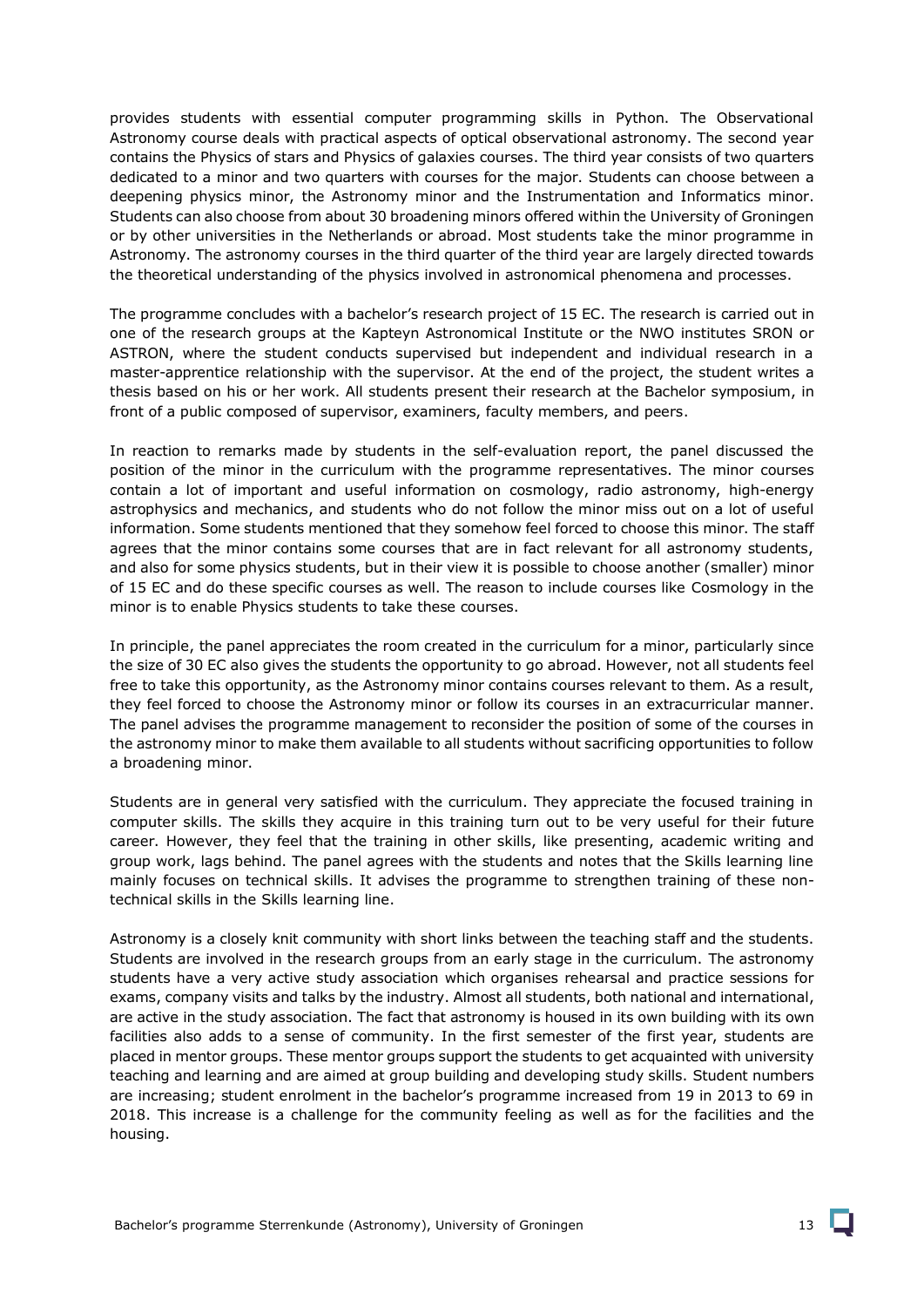provides students with essential computer programming skills in Python. The Observational Astronomy course deals with practical aspects of optical observational astronomy. The second year contains the Physics of stars and Physics of galaxies courses. The third year consists of two quarters dedicated to a minor and two quarters with courses for the major. Students can choose between a deepening physics minor, the Astronomy minor and the Instrumentation and Informatics minor. Students can also choose from about 30 broadening minors offered within the University of Groningen or by other universities in the Netherlands or abroad. Most students take the minor programme in Astronomy. The astronomy courses in the third quarter of the third year are largely directed towards the theoretical understanding of the physics involved in astronomical phenomena and processes.

The programme concludes with a bachelor's research project of 15 EC. The research is carried out in one of the research groups at the Kapteyn Astronomical Institute or the NWO institutes SRON or ASTRON, where the student conducts supervised but independent and individual research in a master-apprentice relationship with the supervisor. At the end of the project, the student writes a thesis based on his or her work. All students present their research at the Bachelor symposium, in front of a public composed of supervisor, examiners, faculty members, and peers.

In reaction to remarks made by students in the self-evaluation report, the panel discussed the position of the minor in the curriculum with the programme representatives. The minor courses contain a lot of important and useful information on cosmology, radio astronomy, high-energy astrophysics and mechanics, and students who do not follow the minor miss out on a lot of useful information. Some students mentioned that they somehow feel forced to choose this minor. The staff agrees that the minor contains some courses that are in fact relevant for all astronomy students, and also for some physics students, but in their view it is possible to choose another (smaller) minor of 15 EC and do these specific courses as well. The reason to include courses like Cosmology in the minor is to enable Physics students to take these courses.

In principle, the panel appreciates the room created in the curriculum for a minor, particularly since the size of 30 EC also gives the students the opportunity to go abroad. However, not all students feel free to take this opportunity, as the Astronomy minor contains courses relevant to them. As a result, they feel forced to choose the Astronomy minor or follow its courses in an extracurricular manner. The panel advises the programme management to reconsider the position of some of the courses in the astronomy minor to make them available to all students without sacrificing opportunities to follow a broadening minor.

Students are in general very satisfied with the curriculum. They appreciate the focused training in computer skills. The skills they acquire in this training turn out to be very useful for their future career. However, they feel that the training in other skills, like presenting, academic writing and group work, lags behind. The panel agrees with the students and notes that the Skills learning line mainly focuses on technical skills. It advises the programme to strengthen training of these nontechnical skills in the Skills learning line.

Astronomy is a closely knit community with short links between the teaching staff and the students. Students are involved in the research groups from an early stage in the curriculum. The astronomy students have a very active study association which organises rehearsal and practice sessions for exams, company visits and talks by the industry. Almost all students, both national and international, are active in the study association. The fact that astronomy is housed in its own building with its own facilities also adds to a sense of community. In the first semester of the first year, students are placed in mentor groups. These mentor groups support the students to get acquainted with university teaching and learning and are aimed at group building and developing study skills. Student numbers are increasing; student enrolment in the bachelor's programme increased from 19 in 2013 to 69 in 2018. This increase is a challenge for the community feeling as well as for the facilities and the housing.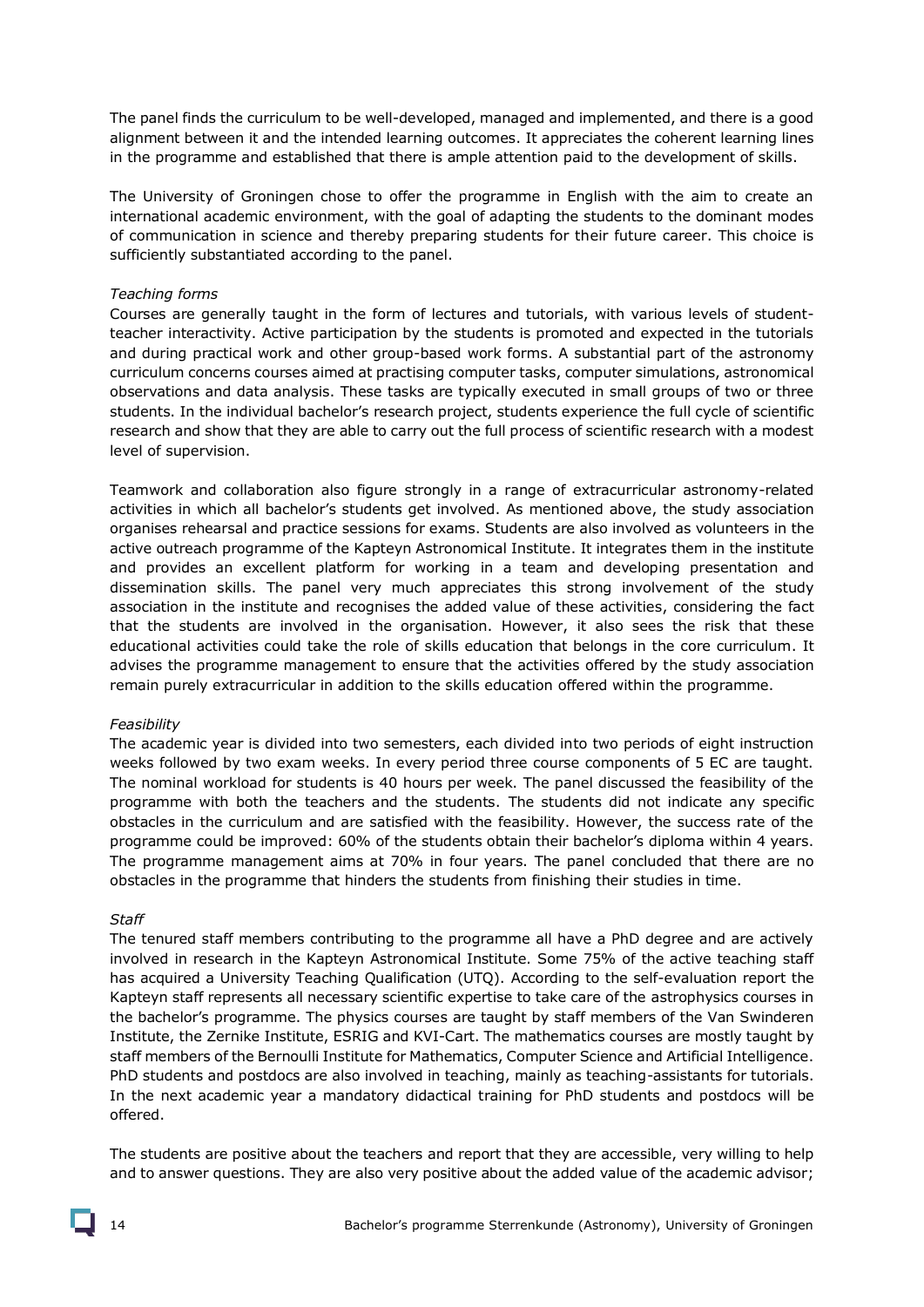The panel finds the curriculum to be well-developed, managed and implemented, and there is a good alignment between it and the intended learning outcomes. It appreciates the coherent learning lines in the programme and established that there is ample attention paid to the development of skills.

The University of Groningen chose to offer the programme in English with the aim to create an international academic environment, with the goal of adapting the students to the dominant modes of communication in science and thereby preparing students for their future career. This choice is sufficiently substantiated according to the panel.

#### *Teaching forms*

Courses are generally taught in the form of lectures and tutorials, with various levels of studentteacher interactivity. Active participation by the students is promoted and expected in the tutorials and during practical work and other group-based work forms. A substantial part of the astronomy curriculum concerns courses aimed at practising computer tasks, computer simulations, astronomical observations and data analysis. These tasks are typically executed in small groups of two or three students. In the individual bachelor's research project, students experience the full cycle of scientific research and show that they are able to carry out the full process of scientific research with a modest level of supervision.

Teamwork and collaboration also figure strongly in a range of extracurricular astronomy-related activities in which all bachelor's students get involved. As mentioned above, the study association organises rehearsal and practice sessions for exams. Students are also involved as volunteers in the active outreach programme of the Kapteyn Astronomical Institute. It integrates them in the institute and provides an excellent platform for working in a team and developing presentation and dissemination skills. The panel very much appreciates this strong involvement of the study association in the institute and recognises the added value of these activities, considering the fact that the students are involved in the organisation. However, it also sees the risk that these educational activities could take the role of skills education that belongs in the core curriculum. It advises the programme management to ensure that the activities offered by the study association remain purely extracurricular in addition to the skills education offered within the programme.

#### *Feasibility*

The academic year is divided into two semesters, each divided into two periods of eight instruction weeks followed by two exam weeks. In every period three course components of 5 EC are taught. The nominal workload for students is 40 hours per week. The panel discussed the feasibility of the programme with both the teachers and the students. The students did not indicate any specific obstacles in the curriculum and are satisfied with the feasibility. However, the success rate of the programme could be improved: 60% of the students obtain their bachelor's diploma within 4 years. The programme management aims at 70% in four years. The panel concluded that there are no obstacles in the programme that hinders the students from finishing their studies in time.

#### *Staff*

The tenured staff members contributing to the programme all have a PhD degree and are actively involved in research in the Kapteyn Astronomical Institute. Some 75% of the active teaching staff has acquired a University Teaching Qualification (UTQ). According to the self-evaluation report the Kapteyn staff represents all necessary scientific expertise to take care of the astrophysics courses in the bachelor's programme. The physics courses are taught by staff members of the Van Swinderen Institute, the Zernike Institute, ESRIG and KVI-Cart. The mathematics courses are mostly taught by staff members of the Bernoulli Institute for Mathematics, Computer Science and Artificial Intelligence. PhD students and postdocs are also involved in teaching, mainly as teaching-assistants for tutorials. In the next academic year a mandatory didactical training for PhD students and postdocs will be offered.

The students are positive about the teachers and report that they are accessible, very willing to help and to answer questions. They are also very positive about the added value of the academic advisor;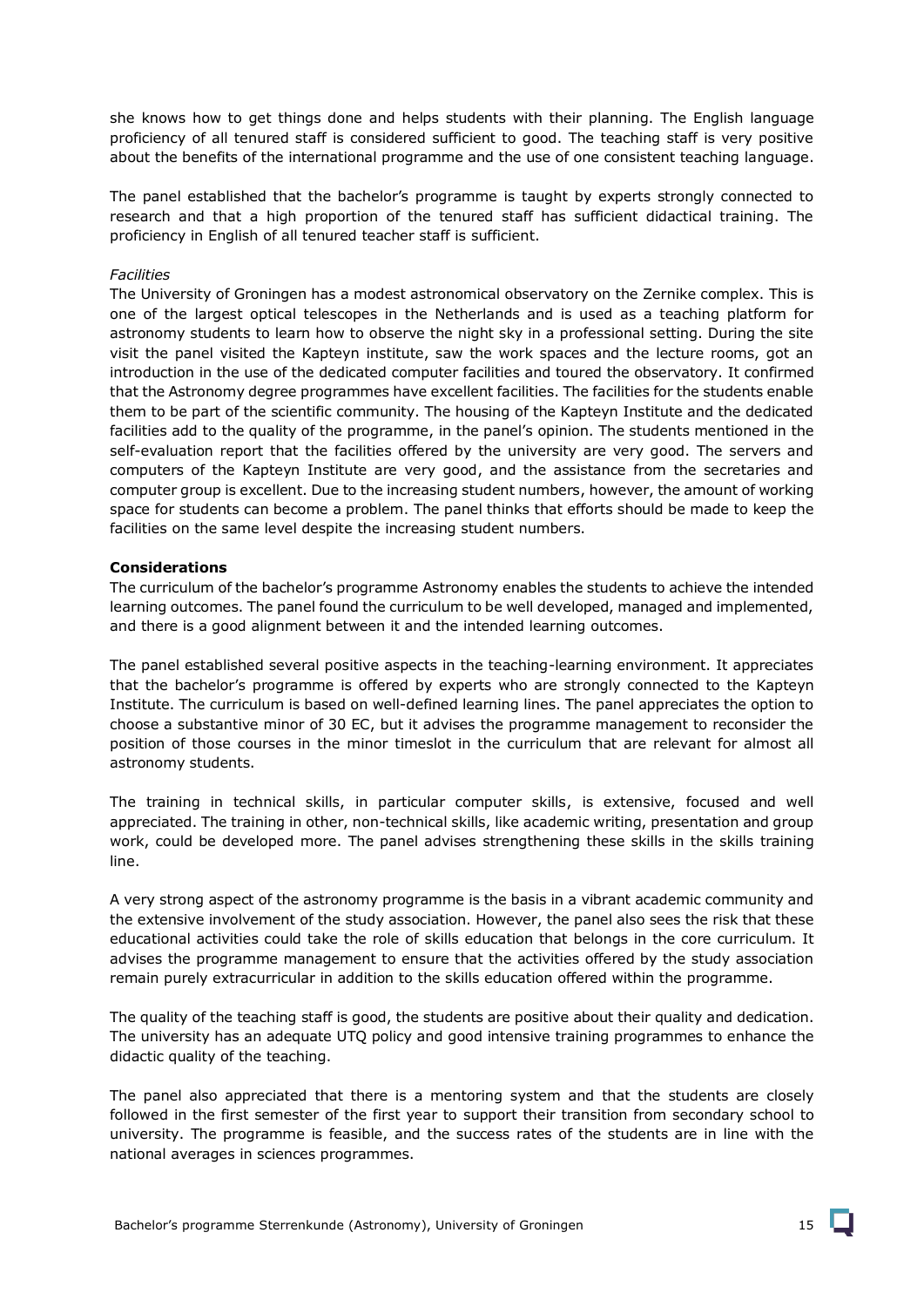she knows how to get things done and helps students with their planning. The English language proficiency of all tenured staff is considered sufficient to good. The teaching staff is very positive about the benefits of the international programme and the use of one consistent teaching language.

The panel established that the bachelor's programme is taught by experts strongly connected to research and that a high proportion of the tenured staff has sufficient didactical training. The proficiency in English of all tenured teacher staff is sufficient.

#### *Facilities*

The University of Groningen has a modest astronomical observatory on the Zernike complex. This is one of the largest optical telescopes in the Netherlands and is used as a teaching platform for astronomy students to learn how to observe the night sky in a professional setting. During the site visit the panel visited the Kapteyn institute, saw the work spaces and the lecture rooms, got an introduction in the use of the dedicated computer facilities and toured the observatory. It confirmed that the Astronomy degree programmes have excellent facilities. The facilities for the students enable them to be part of the scientific community. The housing of the Kapteyn Institute and the dedicated facilities add to the quality of the programme, in the panel's opinion. The students mentioned in the self-evaluation report that the facilities offered by the university are very good. The servers and computers of the Kapteyn Institute are very good, and the assistance from the secretaries and computer group is excellent. Due to the increasing student numbers, however, the amount of working space for students can become a problem. The panel thinks that efforts should be made to keep the facilities on the same level despite the increasing student numbers.

#### **Considerations**

The curriculum of the bachelor's programme Astronomy enables the students to achieve the intended learning outcomes. The panel found the curriculum to be well developed, managed and implemented, and there is a good alignment between it and the intended learning outcomes.

The panel established several positive aspects in the teaching-learning environment. It appreciates that the bachelor's programme is offered by experts who are strongly connected to the Kapteyn Institute. The curriculum is based on well-defined learning lines. The panel appreciates the option to choose a substantive minor of 30 EC, but it advises the programme management to reconsider the position of those courses in the minor timeslot in the curriculum that are relevant for almost all astronomy students.

The training in technical skills, in particular computer skills, is extensive, focused and well appreciated. The training in other, non-technical skills, like academic writing, presentation and group work, could be developed more. The panel advises strengthening these skills in the skills training line.

A very strong aspect of the astronomy programme is the basis in a vibrant academic community and the extensive involvement of the study association. However, the panel also sees the risk that these educational activities could take the role of skills education that belongs in the core curriculum. It advises the programme management to ensure that the activities offered by the study association remain purely extracurricular in addition to the skills education offered within the programme.

The quality of the teaching staff is good, the students are positive about their quality and dedication. The university has an adequate UTQ policy and good intensive training programmes to enhance the didactic quality of the teaching.

The panel also appreciated that there is a mentoring system and that the students are closely followed in the first semester of the first year to support their transition from secondary school to university. The programme is feasible, and the success rates of the students are in line with the national averages in sciences programmes.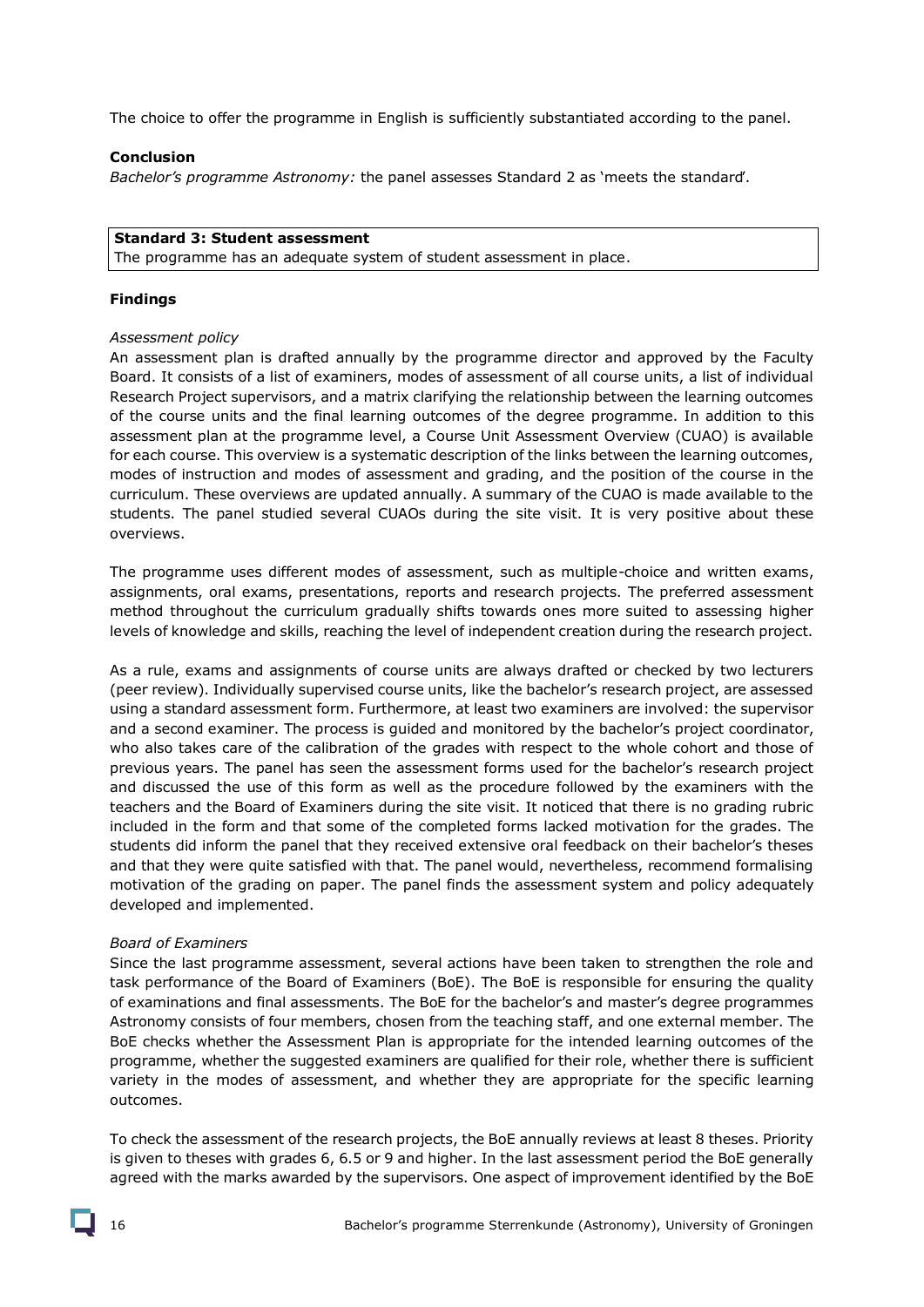The choice to offer the programme in English is sufficiently substantiated according to the panel.

#### **Conclusion**

*Bachelor's programme Astronomy:* the panel assesses Standard 2 as 'meets the standard'.

#### **Standard 3: Student assessment**

The programme has an adequate system of student assessment in place.

#### **Findings**

#### *Assessment policy*

An assessment plan is drafted annually by the programme director and approved by the Faculty Board. It consists of a list of examiners, modes of assessment of all course units, a list of individual Research Project supervisors, and a matrix clarifying the relationship between the learning outcomes of the course units and the final learning outcomes of the degree programme. In addition to this assessment plan at the programme level, a Course Unit Assessment Overview (CUAO) is available for each course. This overview is a systematic description of the links between the learning outcomes, modes of instruction and modes of assessment and grading, and the position of the course in the curriculum. These overviews are updated annually. A summary of the CUAO is made available to the students. The panel studied several CUAOs during the site visit. It is very positive about these overviews.

The programme uses different modes of assessment, such as multiple-choice and written exams, assignments, oral exams, presentations, reports and research projects. The preferred assessment method throughout the curriculum gradually shifts towards ones more suited to assessing higher levels of knowledge and skills, reaching the level of independent creation during the research project.

As a rule, exams and assignments of course units are always drafted or checked by two lecturers (peer review). Individually supervised course units, like the bachelor's research project, are assessed using a standard assessment form. Furthermore, at least two examiners are involved: the supervisor and a second examiner. The process is guided and monitored by the bachelor's project coordinator, who also takes care of the calibration of the grades with respect to the whole cohort and those of previous years. The panel has seen the assessment forms used for the bachelor's research project and discussed the use of this form as well as the procedure followed by the examiners with the teachers and the Board of Examiners during the site visit. It noticed that there is no grading rubric included in the form and that some of the completed forms lacked motivation for the grades. The students did inform the panel that they received extensive oral feedback on their bachelor's theses and that they were quite satisfied with that. The panel would, nevertheless, recommend formalising motivation of the grading on paper. The panel finds the assessment system and policy adequately developed and implemented.

#### *Board of Examiners*

Since the last programme assessment, several actions have been taken to strengthen the role and task performance of the Board of Examiners (BoE). The BoE is responsible for ensuring the quality of examinations and final assessments. The BoE for the bachelor's and master's degree programmes Astronomy consists of four members, chosen from the teaching staff, and one external member. The BoE checks whether the Assessment Plan is appropriate for the intended learning outcomes of the programme, whether the suggested examiners are qualified for their role, whether there is sufficient variety in the modes of assessment, and whether they are appropriate for the specific learning outcomes.

To check the assessment of the research projects, the BoE annually reviews at least 8 theses. Priority is given to theses with grades 6, 6.5 or 9 and higher. In the last assessment period the BoE generally agreed with the marks awarded by the supervisors. One aspect of improvement identified by the BoE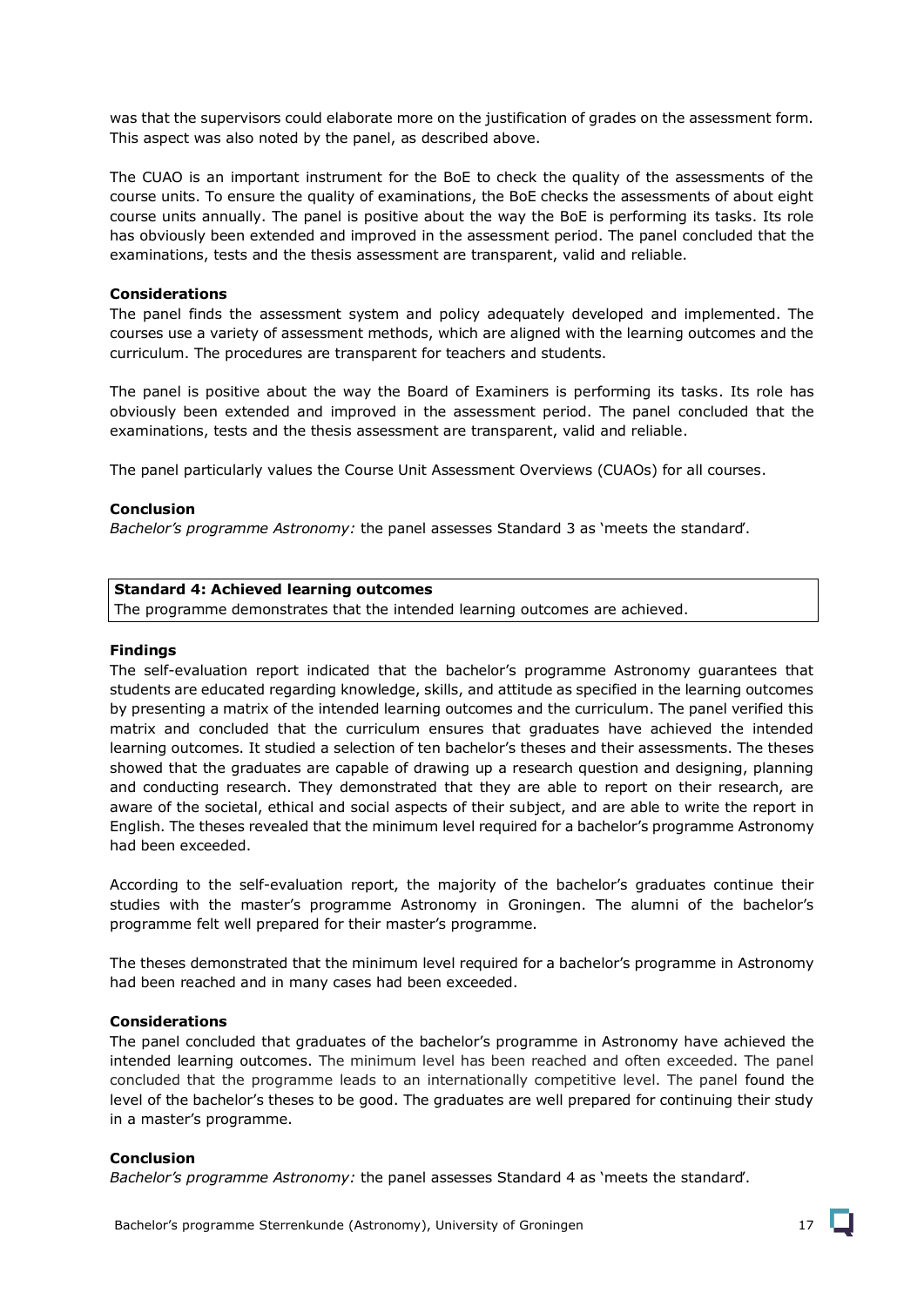was that the supervisors could elaborate more on the justification of grades on the assessment form. This aspect was also noted by the panel, as described above.

The CUAO is an important instrument for the BoE to check the quality of the assessments of the course units. To ensure the quality of examinations, the BoE checks the assessments of about eight course units annually. The panel is positive about the way the BoE is performing its tasks. Its role has obviously been extended and improved in the assessment period. The panel concluded that the examinations, tests and the thesis assessment are transparent, valid and reliable.

#### **Considerations**

The panel finds the assessment system and policy adequately developed and implemented. The courses use a variety of assessment methods, which are aligned with the learning outcomes and the curriculum. The procedures are transparent for teachers and students.

The panel is positive about the way the Board of Examiners is performing its tasks. Its role has obviously been extended and improved in the assessment period. The panel concluded that the examinations, tests and the thesis assessment are transparent, valid and reliable.

The panel particularly values the Course Unit Assessment Overviews (CUAOs) for all courses.

#### **Conclusion**

*Bachelor's programme Astronomy:* the panel assesses Standard 3 as 'meets the standard'.

#### **Standard 4: Achieved learning outcomes**

The programme demonstrates that the intended learning outcomes are achieved.

#### **Findings**

The self-evaluation report indicated that the bachelor's programme Astronomy guarantees that students are educated regarding knowledge, skills, and attitude as specified in the learning outcomes by presenting a matrix of the intended learning outcomes and the curriculum. The panel verified this matrix and concluded that the curriculum ensures that graduates have achieved the intended learning outcomes. It studied a selection of ten bachelor's theses and their assessments. The theses showed that the graduates are capable of drawing up a research question and designing, planning and conducting research. They demonstrated that they are able to report on their research, are aware of the societal, ethical and social aspects of their subject, and are able to write the report in English. The theses revealed that the minimum level required for a bachelor's programme Astronomy had been exceeded.

According to the self-evaluation report, the majority of the bachelor's graduates continue their studies with the master's programme Astronomy in Groningen. The alumni of the bachelor's programme felt well prepared for their master's programme.

The theses demonstrated that the minimum level required for a bachelor's programme in Astronomy had been reached and in many cases had been exceeded.

#### **Considerations**

The panel concluded that graduates of the bachelor's programme in Astronomy have achieved the intended learning outcomes. The minimum level has been reached and often exceeded. The panel concluded that the programme leads to an internationally competitive level. The panel found the level of the bachelor's theses to be good. The graduates are well prepared for continuing their study in a master's programme.

#### **Conclusion**

*Bachelor's programme Astronomy:* the panel assesses Standard 4 as 'meets the standard'.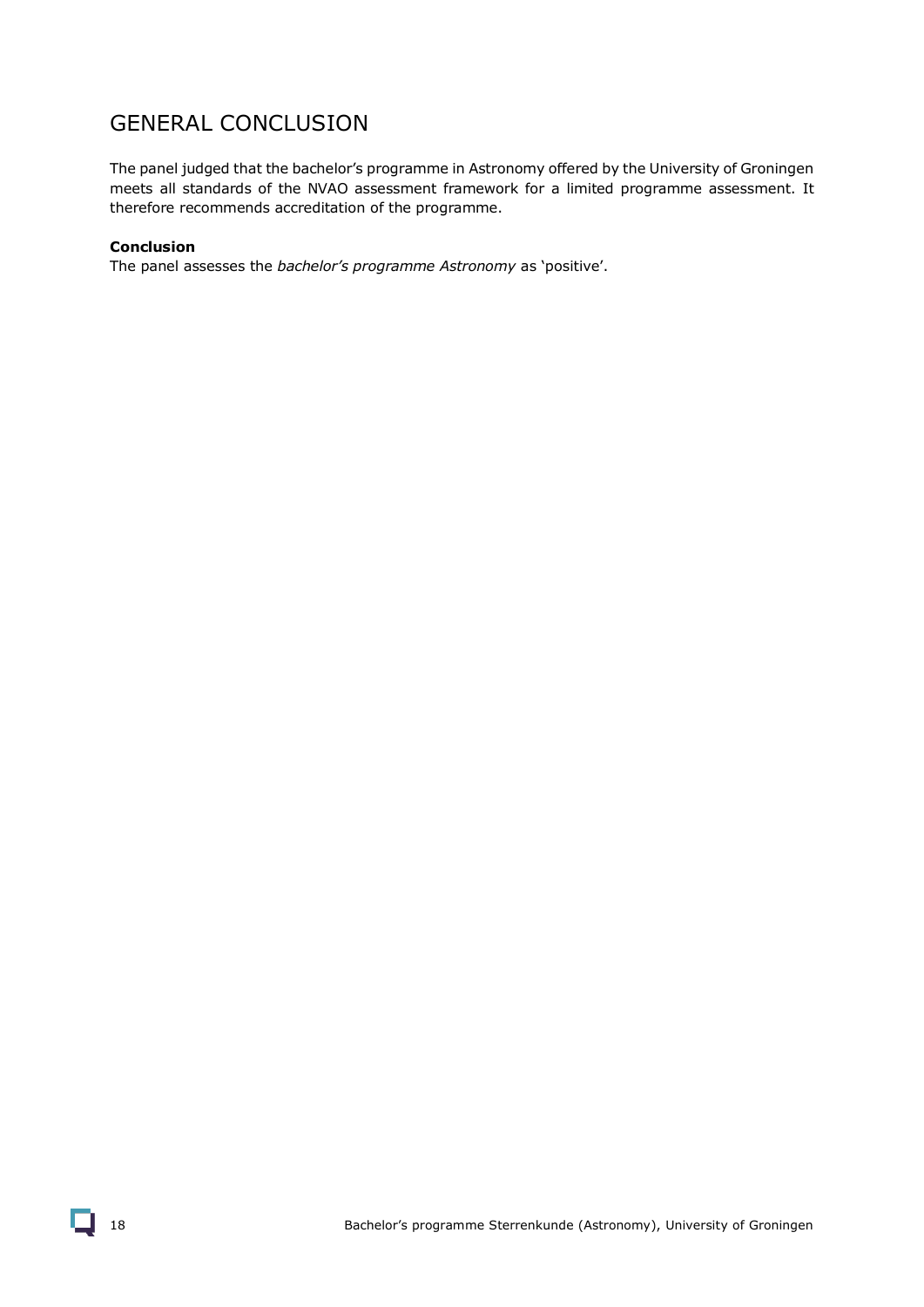### GENERAL CONCLUSION

The panel judged that the bachelor's programme in Astronomy offered by the University of Groningen meets all standards of the NVAO assessment framework for a limited programme assessment. It therefore recommends accreditation of the programme.

#### **Conclusion**

The panel assesses the *bachelor's programme Astronomy* as 'positive'.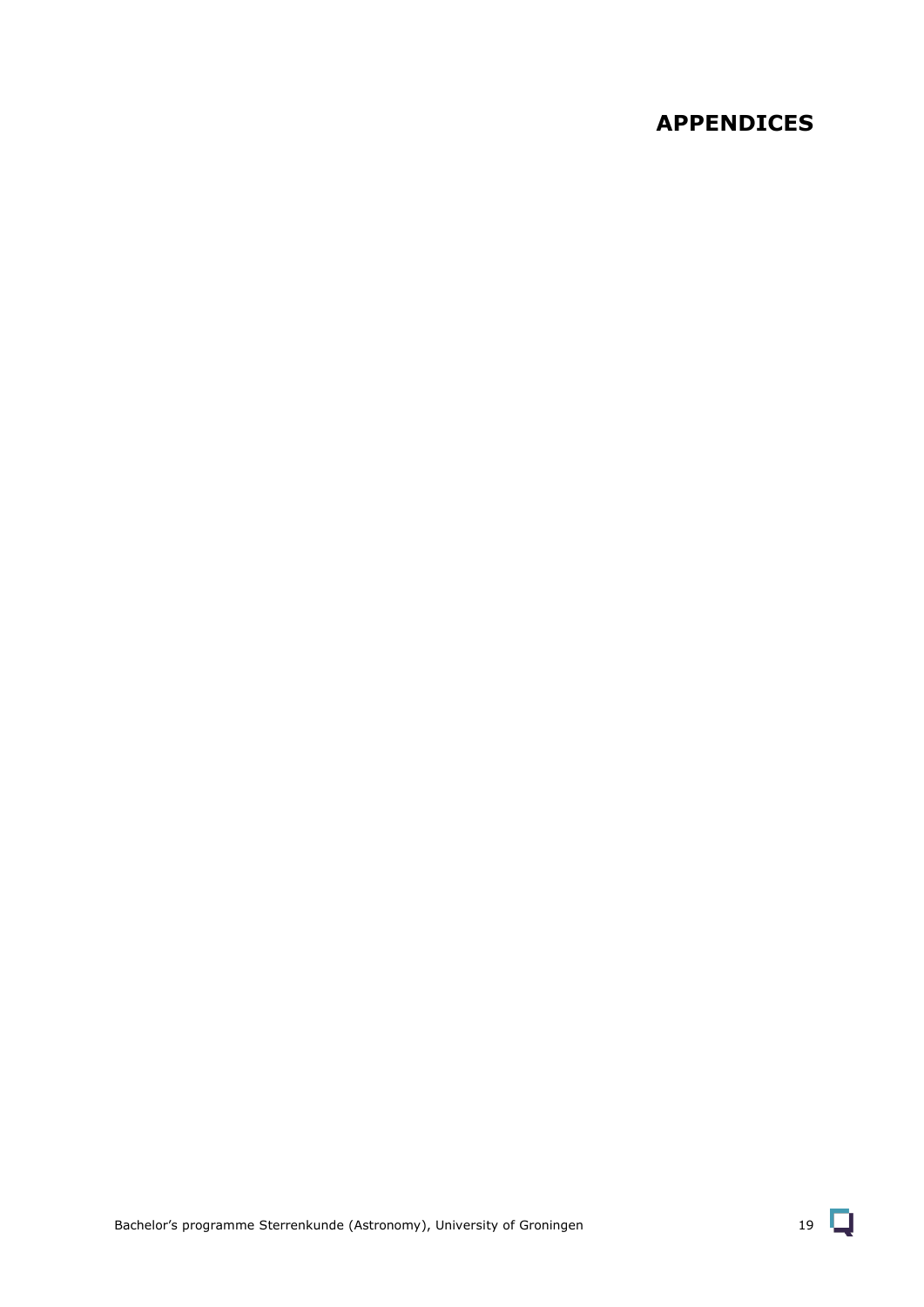### <span id="page-18-0"></span>**APPENDICES**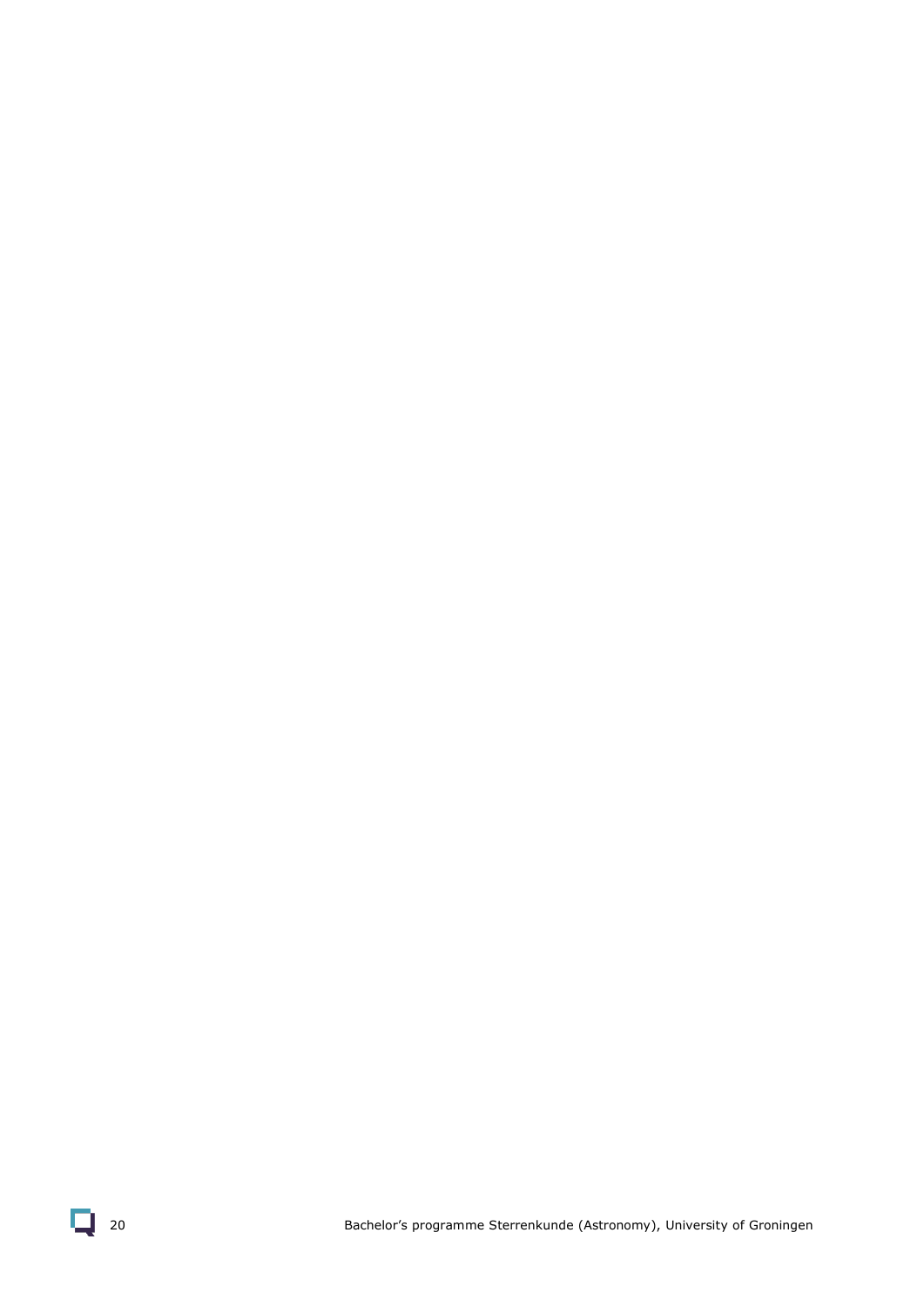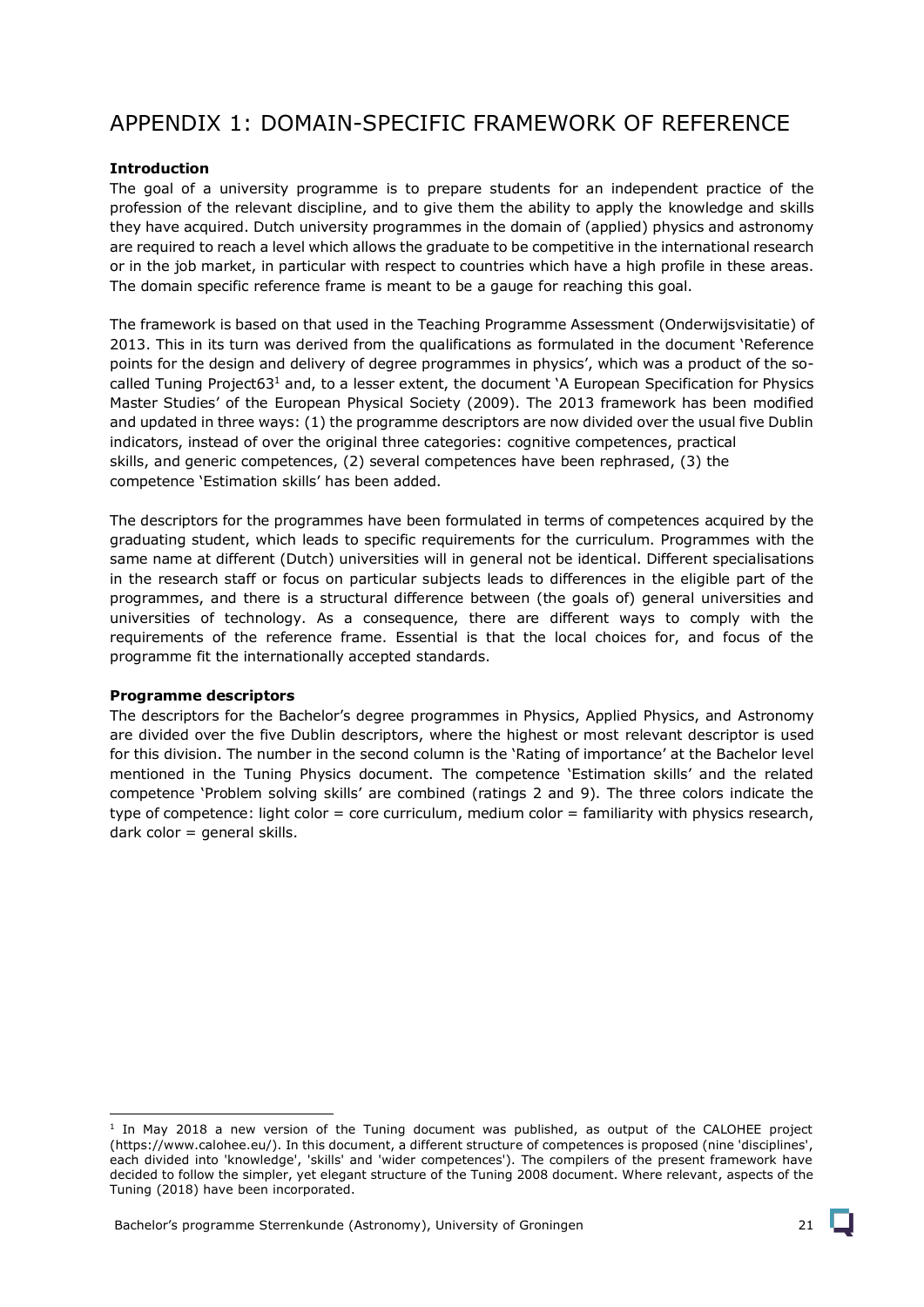### <span id="page-20-0"></span>APPENDIX 1: DOMAIN-SPECIFIC FRAMEWORK OF REFERENCE

#### **Introduction**

The goal of a university programme is to prepare students for an independent practice of the profession of the relevant discipline, and to give them the ability to apply the knowledge and skills they have acquired. Dutch university programmes in the domain of (applied) physics and astronomy are required to reach a level which allows the graduate to be competitive in the international research or in the job market, in particular with respect to countries which have a high profile in these areas. The domain specific reference frame is meant to be a gauge for reaching this goal.

The framework is based on that used in the Teaching Programme Assessment (Onderwijsvisitatie) of 2013. This in its turn was derived from the qualifications as formulated in the document 'Reference points for the design and delivery of degree programmes in physics', which was a product of the socalled Tuning Project63<sup>1</sup> and, to a lesser extent, the document 'A European Specification for Physics Master Studies' of the European Physical Society (2009). The 2013 framework has been modified and updated in three ways: (1) the programme descriptors are now divided over the usual five Dublin indicators, instead of over the original three categories: cognitive competences, practical skills, and generic competences, (2) several competences have been rephrased, (3) the competence 'Estimation skills' has been added.

The descriptors for the programmes have been formulated in terms of competences acquired by the graduating student, which leads to specific requirements for the curriculum. Programmes with the same name at different (Dutch) universities will in general not be identical. Different specialisations in the research staff or focus on particular subjects leads to differences in the eligible part of the programmes, and there is a structural difference between (the goals of) general universities and universities of technology. As a consequence, there are different ways to comply with the requirements of the reference frame. Essential is that the local choices for, and focus of the programme fit the internationally accepted standards.

#### **Programme descriptors**

The descriptors for the Bachelor's degree programmes in Physics, Applied Physics, and Astronomy are divided over the five Dublin descriptors, where the highest or most relevant descriptor is used for this division. The number in the second column is the 'Rating of importance' at the Bachelor level mentioned in the Tuning Physics document. The competence 'Estimation skills' and the related competence 'Problem solving skills' are combined (ratings 2 and 9). The three colors indicate the type of competence: light color = core curriculum, medium color = familiarity with physics research, dark color = general skills.

 1 In May 2018 a new version of the Tuning document was published, as output of the CALOHEE project (https://www.calohee.eu/). In this document, a different structure of competences is proposed (nine 'disciplines', each divided into 'knowledge', 'skills' and 'wider competences'). The compilers of the present framework have decided to follow the simpler, yet elegant structure of the Tuning 2008 document. Where relevant, aspects of the Tuning (2018) have been incorporated.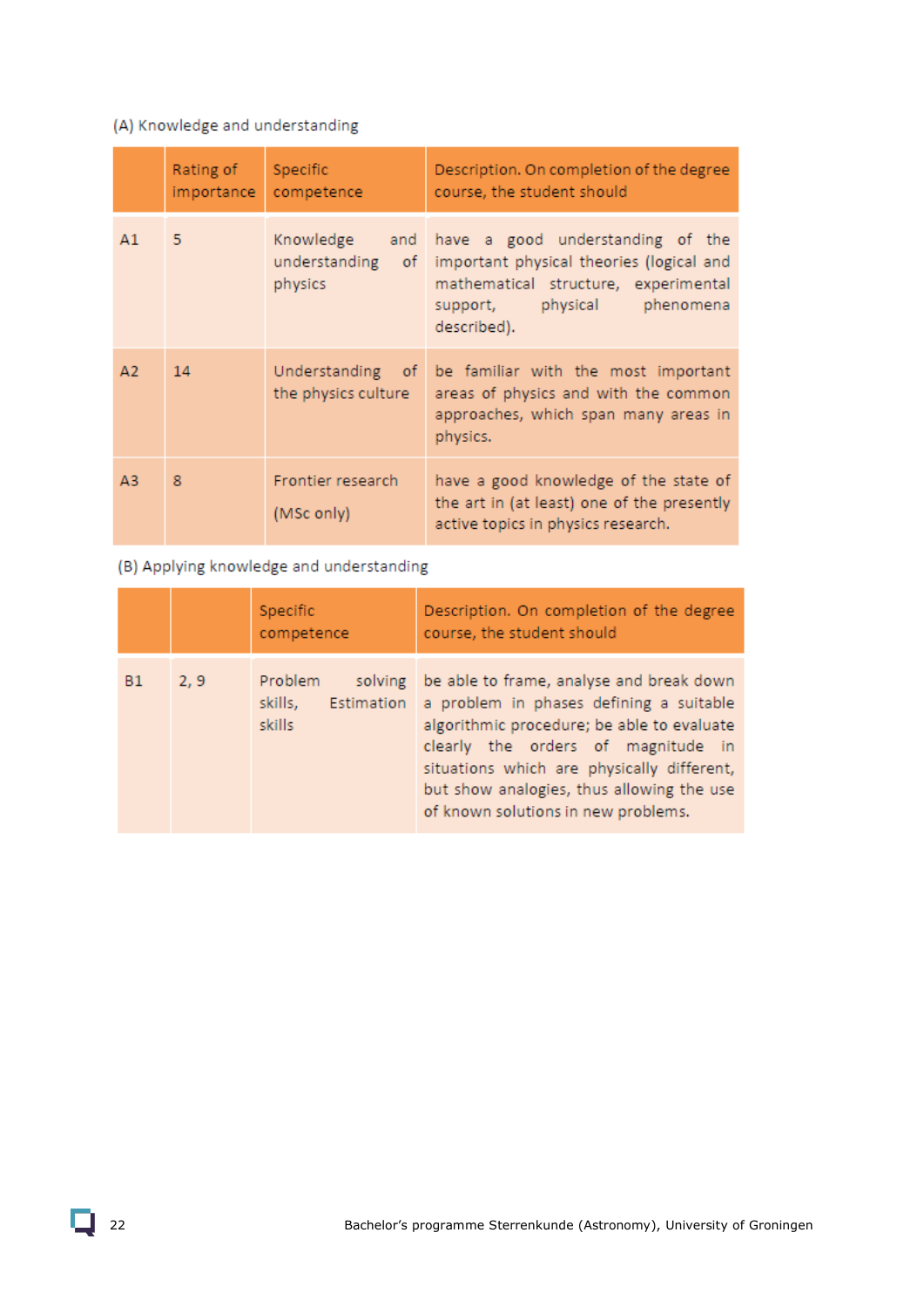### (A) Knowledge and understanding

|    | Rating of<br>importance | Specific<br>competence                          | Description. On completion of the degree<br>course, the student should                                                                                             |
|----|-------------------------|-------------------------------------------------|--------------------------------------------------------------------------------------------------------------------------------------------------------------------|
| A1 | -5.                     | Knowledge<br>and<br>understanding of<br>physics | have a good understanding of the<br>important physical theories (logical and<br>mathematical structure, experimental<br>support, physical phenomena<br>described). |
| A2 | 14                      | Understanding of<br>the physics culture         | be familiar with the most important<br>areas of physics and with the common<br>approaches, which span many areas in<br>physics.                                    |
| A3 | 8                       | Frontier research<br>(MSc only)                 | have a good knowledge of the state of<br>the art in (at least) one of the presently<br>active topics in physics research.                                          |

### (B) Applying knowledge and understanding

|           |      | Specific<br>competence                                 | Description. On completion of the degree<br>course, the student should                                                                                                                                                                                                                                    |
|-----------|------|--------------------------------------------------------|-----------------------------------------------------------------------------------------------------------------------------------------------------------------------------------------------------------------------------------------------------------------------------------------------------------|
| <b>B1</b> | 2, 9 | Problem<br>solving<br>Estimation<br>skills,<br>skills. | be able to frame, analyse and break down<br>a problem in phases defining a suitable<br>algorithmic procedure; be able to evaluate<br>clearly the orders of magnitude in<br>situations which are physically different,<br>but show analogies, thus allowing the use<br>of known solutions in new problems. |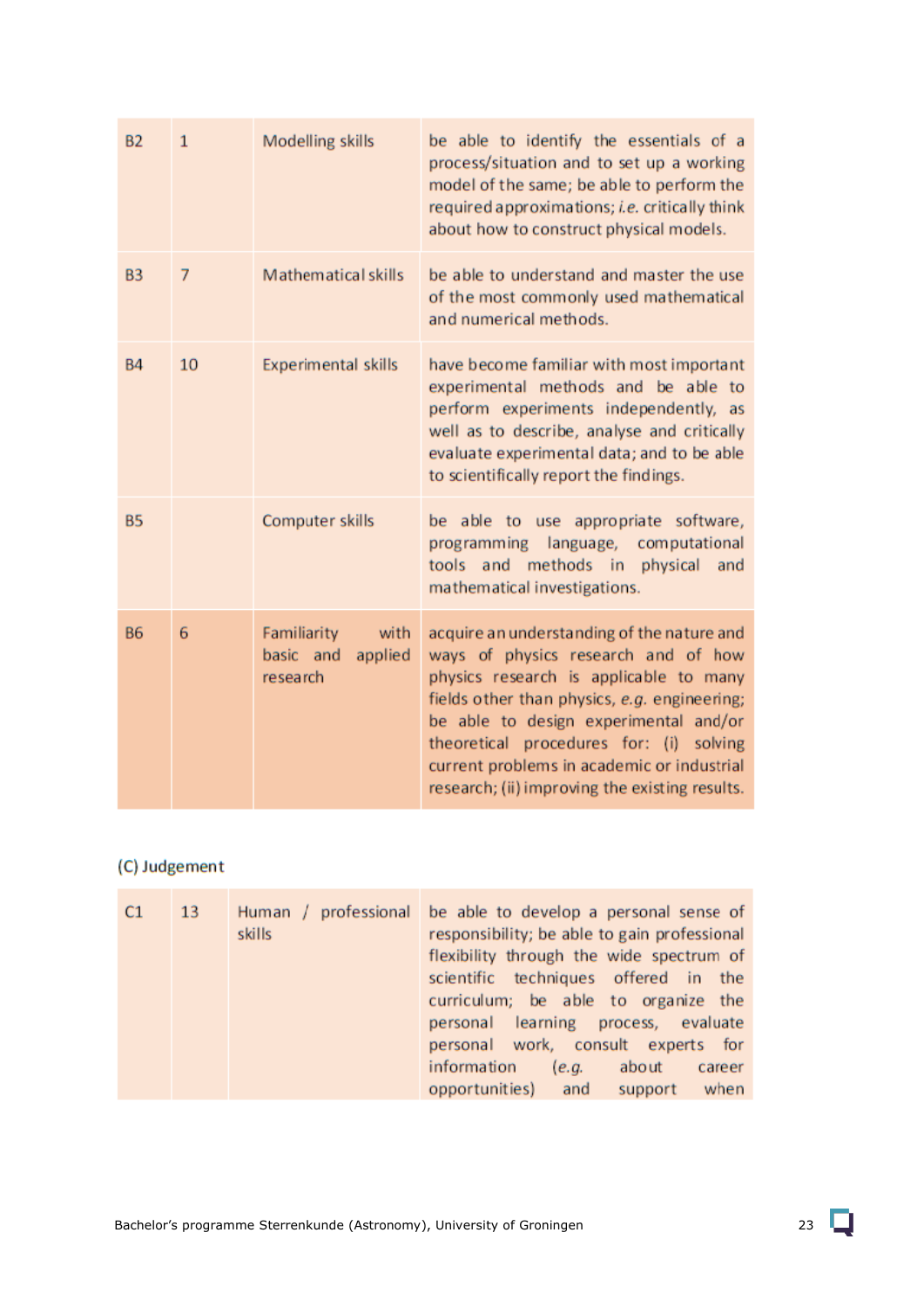| <b>B2</b> | $\mathbf{1}$ | Modelling skills                                        | be able to identify the essentials of a<br>process/situation and to set up a working<br>model of the same; be able to perform the<br>required approximations; i.e. critically think<br>about how to construct physical models.                                                                                                                                  |
|-----------|--------------|---------------------------------------------------------|-----------------------------------------------------------------------------------------------------------------------------------------------------------------------------------------------------------------------------------------------------------------------------------------------------------------------------------------------------------------|
| <b>B3</b> | 7            | Mathematical skills                                     | be able to understand and master the use<br>of the most commonly used mathematical<br>and numerical methods.                                                                                                                                                                                                                                                    |
| <b>B4</b> | 10           | <b>Experimental skills</b>                              | have become familiar with most important<br>experimental methods and be able to<br>perform experiments independently, as<br>well as to describe, analyse and critically<br>evaluate experimental data; and to be able<br>to scientifically report the findings.                                                                                                 |
| <b>B5</b> |              | <b>Computer skills</b>                                  | be able to use appropriate software,<br>language,<br>computational<br>programming<br>tools and methods in physical<br>and<br>mathematical investigations.                                                                                                                                                                                                       |
| <b>B6</b> | 6            | Familiarity<br>with<br>basic and<br>applied<br>research | acquire an understanding of the nature and<br>ways of physics research and of how<br>physics research is applicable to many<br>fields other than physics, e.g. engineering;<br>be able to design experimental and/or<br>theoretical procedures for: (i) solving<br>current problems in academic or industrial<br>research; (ii) improving the existing results. |

### (C) Judgement

| C <sub>1</sub> | 13 | professional<br>Human /<br>skills | be able to develop a personal sense of<br>responsibility; be able to gain professional<br>flexibility through the wide spectrum of<br>scientific techniques offered in the<br>curriculum; be able to organize the<br>learning process, evaluate<br>personal<br>personal work, consult experts for<br>information<br>about<br>(e.g.<br>career |
|----------------|----|-----------------------------------|----------------------------------------------------------------------------------------------------------------------------------------------------------------------------------------------------------------------------------------------------------------------------------------------------------------------------------------------|
|                |    |                                   | opportunities)<br>when<br>and<br>support                                                                                                                                                                                                                                                                                                     |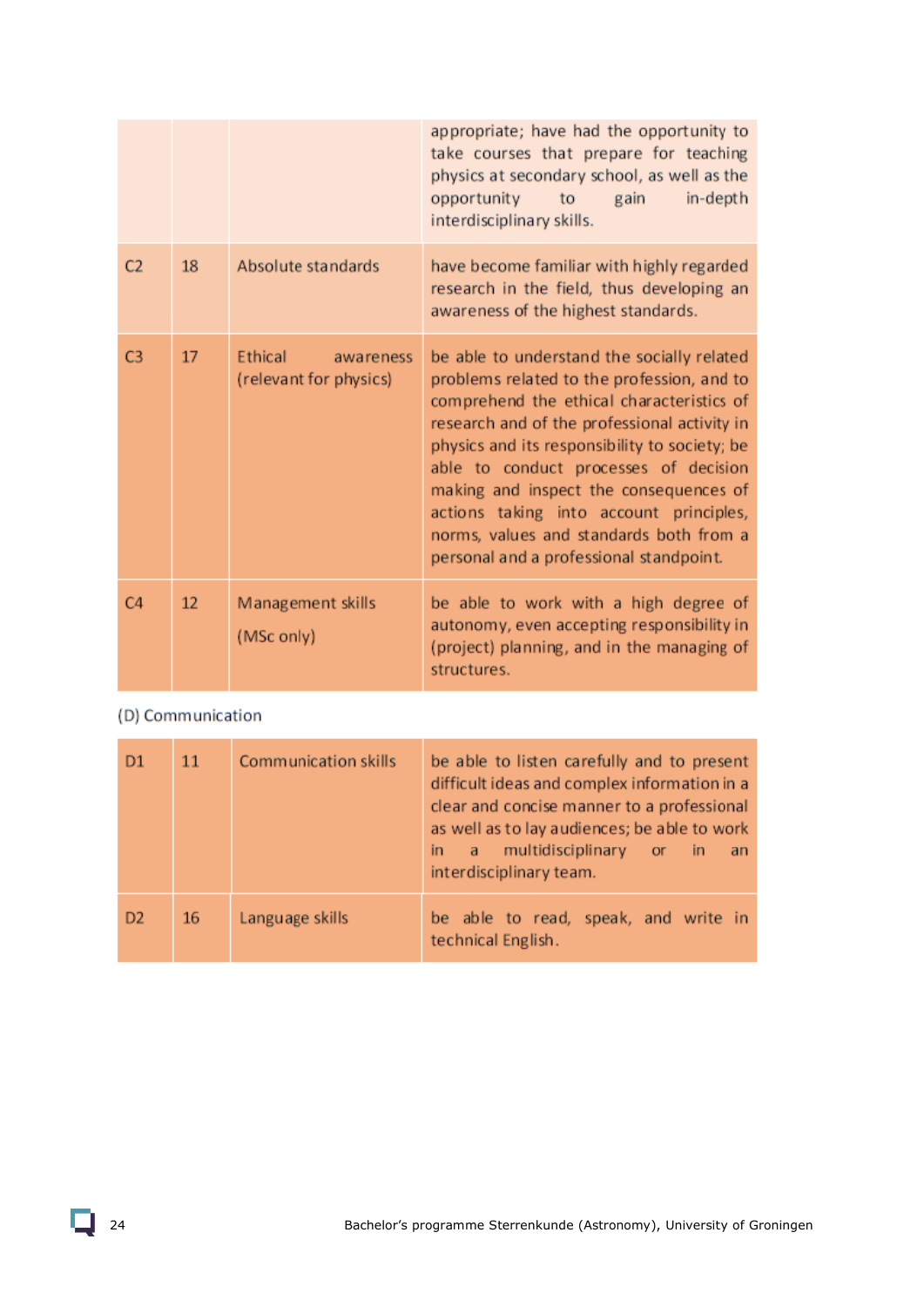|                |    |                                                | appropriate; have had the opportunity to<br>take courses that prepare for teaching<br>physics at secondary school, as well as the<br>opportunity<br>in-depth<br>to to<br>gain<br>interdisciplinary skills.                                                                                                                                                                                                                                                 |
|----------------|----|------------------------------------------------|------------------------------------------------------------------------------------------------------------------------------------------------------------------------------------------------------------------------------------------------------------------------------------------------------------------------------------------------------------------------------------------------------------------------------------------------------------|
| C <sub>2</sub> | 18 | Absolute standards                             | have become familiar with highly regarded<br>research in the field, thus developing an<br>awareness of the highest standards.                                                                                                                                                                                                                                                                                                                              |
| C <sub>3</sub> | 17 | Ethical<br>awareness<br>(relevant for physics) | be able to understand the socially related<br>problems related to the profession, and to<br>comprehend the ethical characteristics of<br>research and of the professional activity in<br>physics and its responsibility to society; be<br>able to conduct processes of decision<br>making and inspect the consequences of<br>actions taking into account principles,<br>norms, values and standards both from a<br>personal and a professional standpoint. |
| C <sub>4</sub> | 12 | Management skills<br>(MSc only)                | be able to work with a high degree of<br>autonomy, even accepting responsibility in<br>(project) planning, and in the managing of<br>structures.                                                                                                                                                                                                                                                                                                           |

### (D) Communication

| D <sub>1</sub> | 11 | <b>Communication skills</b> | be able to listen carefully and to present<br>difficult ideas and complex information in a<br>clear and concise manner to a professional<br>as well as to lay audiences; be able to work<br>in a multidisciplinary or<br>- in<br>an<br>interdisciplinary team. |
|----------------|----|-----------------------------|----------------------------------------------------------------------------------------------------------------------------------------------------------------------------------------------------------------------------------------------------------------|
| D <sub>2</sub> | 16 | Language skills             | be able to read, speak, and write in<br>technical English.                                                                                                                                                                                                     |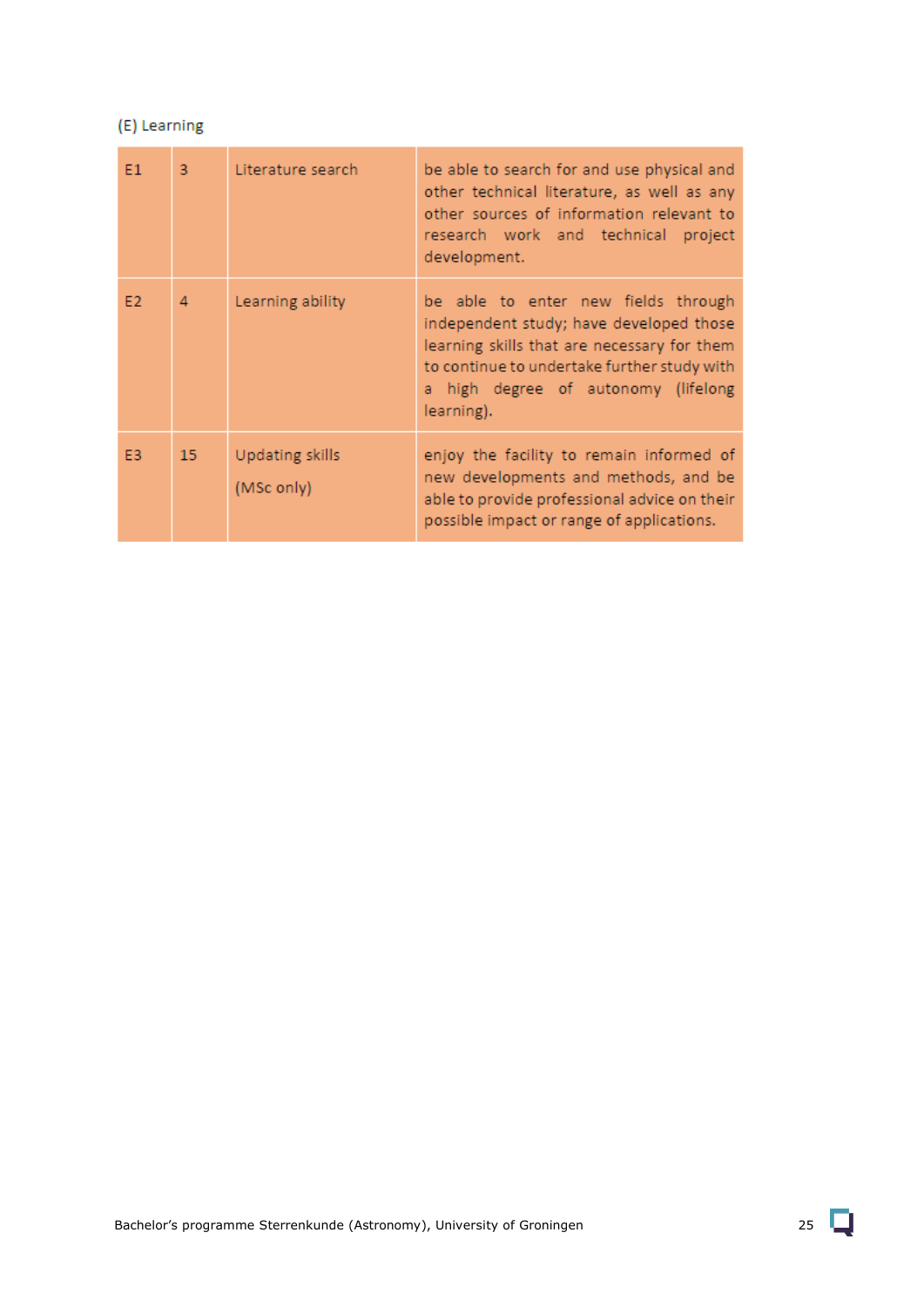### (E) Learning

| E <sub>1</sub> | 3  | Literature search             | be able to search for and use physical and<br>other technical literature, as well as any<br>other sources of information relevant to<br>research work and technical project<br>development.                                       |
|----------------|----|-------------------------------|-----------------------------------------------------------------------------------------------------------------------------------------------------------------------------------------------------------------------------------|
| E <sub>2</sub> | 4  | Learning ability              | be able to enter new fields through<br>independent study; have developed those<br>learning skills that are necessary for them<br>to continue to undertake further study with<br>a high degree of autonomy (lifelong<br>learning). |
| E <sub>3</sub> | 15 | Updating skills<br>(MSc only) | enjoy the facility to remain informed of<br>new developments and methods, and be<br>able to provide professional advice on their<br>possible impact or range of applications.                                                     |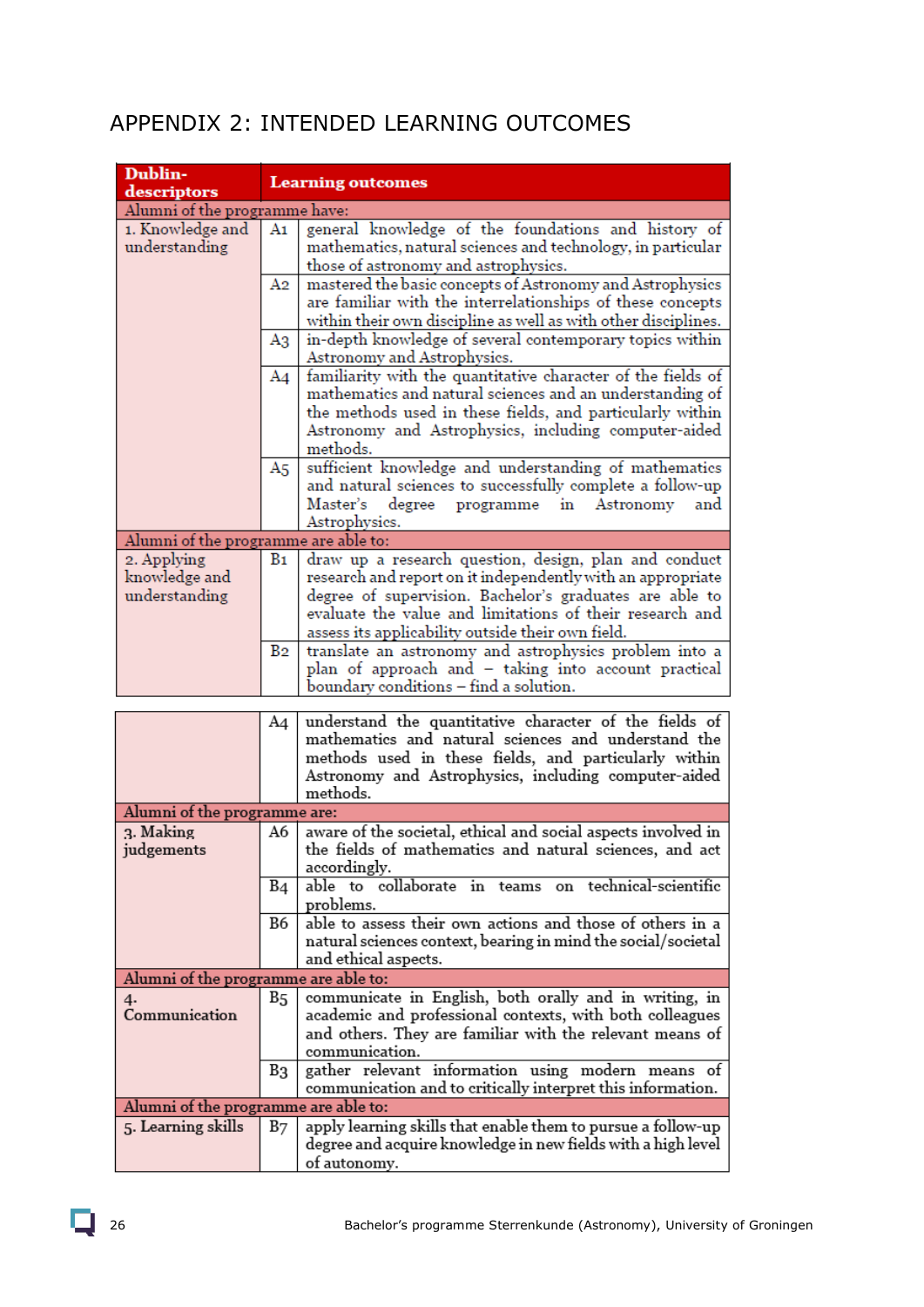# <span id="page-25-0"></span>APPENDIX 2: INTENDED LEARNING OUTCOMES

| Dublin-<br>descriptors               |                       | <b>Learning outcomes</b>                                                                                                                                                                                                                                                     |  |
|--------------------------------------|-----------------------|------------------------------------------------------------------------------------------------------------------------------------------------------------------------------------------------------------------------------------------------------------------------------|--|
| Alumni of the programme have:        |                       |                                                                                                                                                                                                                                                                              |  |
| 1. Knowledge and<br>understanding    | A1                    | general knowledge of the foundations and history of<br>mathematics, natural sciences and technology, in particular<br>those of astronomy and astrophysics.                                                                                                                   |  |
|                                      | A2                    | mastered the basic concepts of Astronomy and Astrophysics<br>are familiar with the interrelationships of these concepts                                                                                                                                                      |  |
|                                      | Aз                    | within their own discipline as well as with other disciplines.<br>in-depth knowledge of several contemporary topics within                                                                                                                                                   |  |
|                                      | A4                    | Astronomy and Astrophysics.<br>familiarity with the quantitative character of the fields of<br>mathematics and natural sciences and an understanding of<br>the methods used in these fields, and particularly within<br>Astronomy and Astrophysics, including computer-aided |  |
|                                      | A5                    | methods.<br>sufficient knowledge and understanding of mathematics<br>and natural sciences to successfully complete a follow-up<br>degree<br>programme<br>in<br>Astronomy<br>Master's<br>and<br>Astrophysics.                                                                 |  |
| Alumni of the programme are able to: |                       |                                                                                                                                                                                                                                                                              |  |
| 2. Applying<br>knowledge and         | В1                    | draw up a research question, design, plan and conduct<br>research and report on it independently with an appropriate                                                                                                                                                         |  |
| understanding                        |                       | degree of supervision. Bachelor's graduates are able to<br>evaluate the value and limitations of their research and<br>assess its applicability outside their own field.                                                                                                     |  |
|                                      | B2                    | translate an astronomy and astrophysics problem into a<br>plan of approach and - taking into account practical<br>boundary conditions - find a solution.                                                                                                                     |  |
|                                      | A4                    | understand the quantitative character of the fields of<br>mathematics and natural sciences and understand the<br>methods used in these fields, and particularly within<br>Astronomy and Astrophysics, including computer-aided<br>methods.                                   |  |
| Alumni of the programme are:         |                       |                                                                                                                                                                                                                                                                              |  |
| 3. Making<br>judgements              | A6                    | aware of the societal, ethical and social aspects involved in<br>the fields of mathematics and natural sciences, and act<br>accordingly.                                                                                                                                     |  |
|                                      | <b>B</b> <sub>4</sub> | able to collaborate in teams on technical-scientific<br>problems.                                                                                                                                                                                                            |  |
|                                      | B6                    | able to assess their own actions and those of others in a<br>natural sciences context, bearing in mind the social/societal<br>and ethical aspects.                                                                                                                           |  |
| Alumni of the programme are able to: |                       |                                                                                                                                                                                                                                                                              |  |
| 4.<br>Communication                  | <b>B</b> 5            | communicate in English, both orally and in writing, in<br>academic and professional contexts, with both colleagues<br>and others. They are familiar with the relevant means of<br>communication.                                                                             |  |
|                                      | B3                    | gather relevant information using modern means of<br>communication and to critically interpret this information.                                                                                                                                                             |  |
| Alumni of the programme are able to: |                       |                                                                                                                                                                                                                                                                              |  |
| 5. Learning skills                   | B7                    | apply learning skills that enable them to pursue a follow-up<br>degree and acquire knowledge in new fields with a high level<br>of autonomy.                                                                                                                                 |  |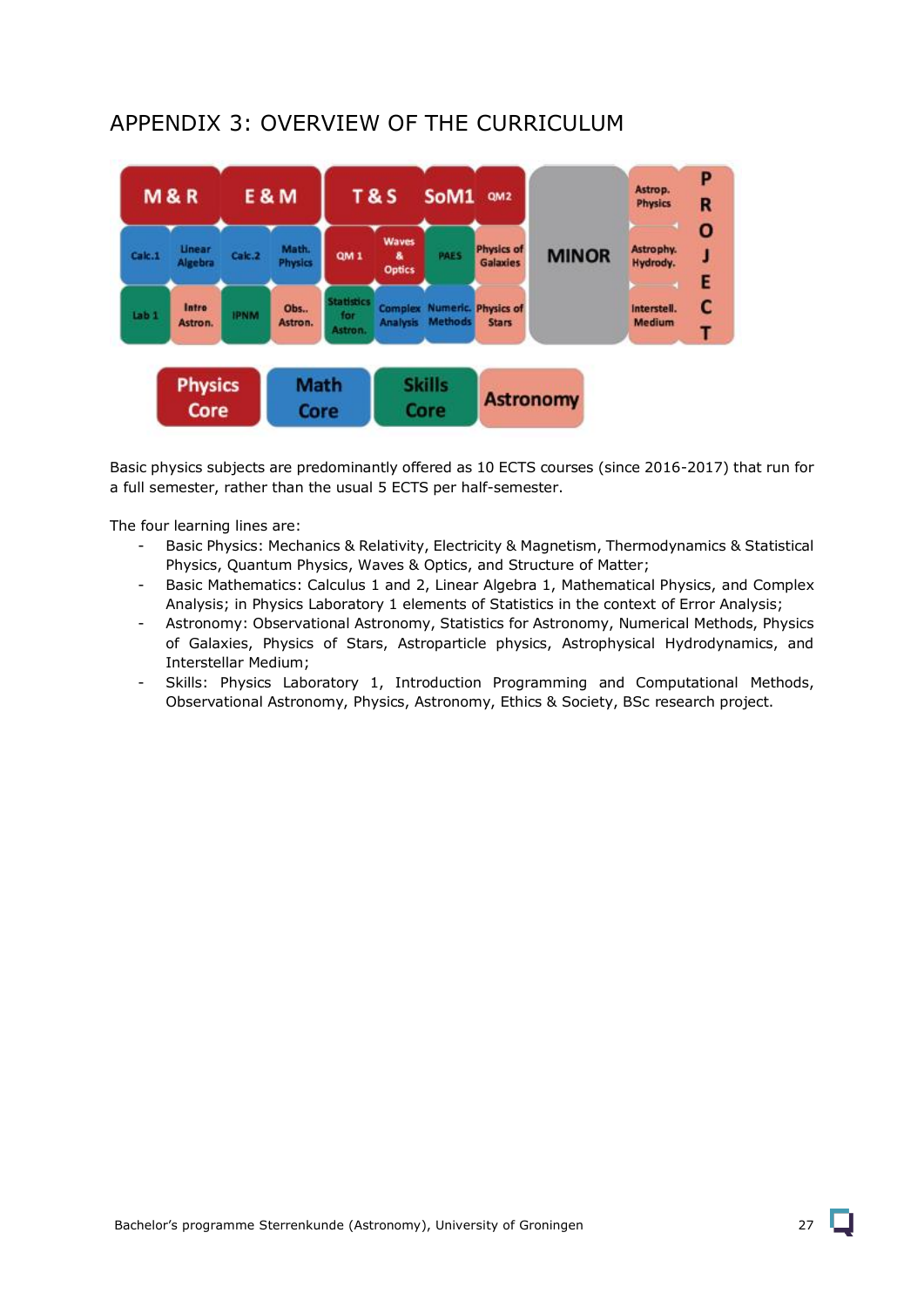### <span id="page-26-0"></span>APPENDIX 3: OVERVIEW OF THE CURRICULUM



Basic physics subjects are predominantly offered as 10 ECTS courses (since 2016-2017) that run for a full semester, rather than the usual 5 ECTS per half-semester.

The four learning lines are:

- Basic Physics: Mechanics & Relativity, Electricity & Magnetism, Thermodynamics & Statistical Physics, Quantum Physics, Waves & Optics, and Structure of Matter;
- Basic Mathematics: Calculus 1 and 2, Linear Algebra 1, Mathematical Physics, and Complex Analysis; in Physics Laboratory 1 elements of Statistics in the context of Error Analysis;
- Astronomy: Observational Astronomy, Statistics for Astronomy, Numerical Methods, Physics of Galaxies, Physics of Stars, Astroparticle physics, Astrophysical Hydrodynamics, and Interstellar Medium;
- Skills: Physics Laboratory 1, Introduction Programming and Computational Methods, Observational Astronomy, Physics, Astronomy, Ethics & Society, BSc research project.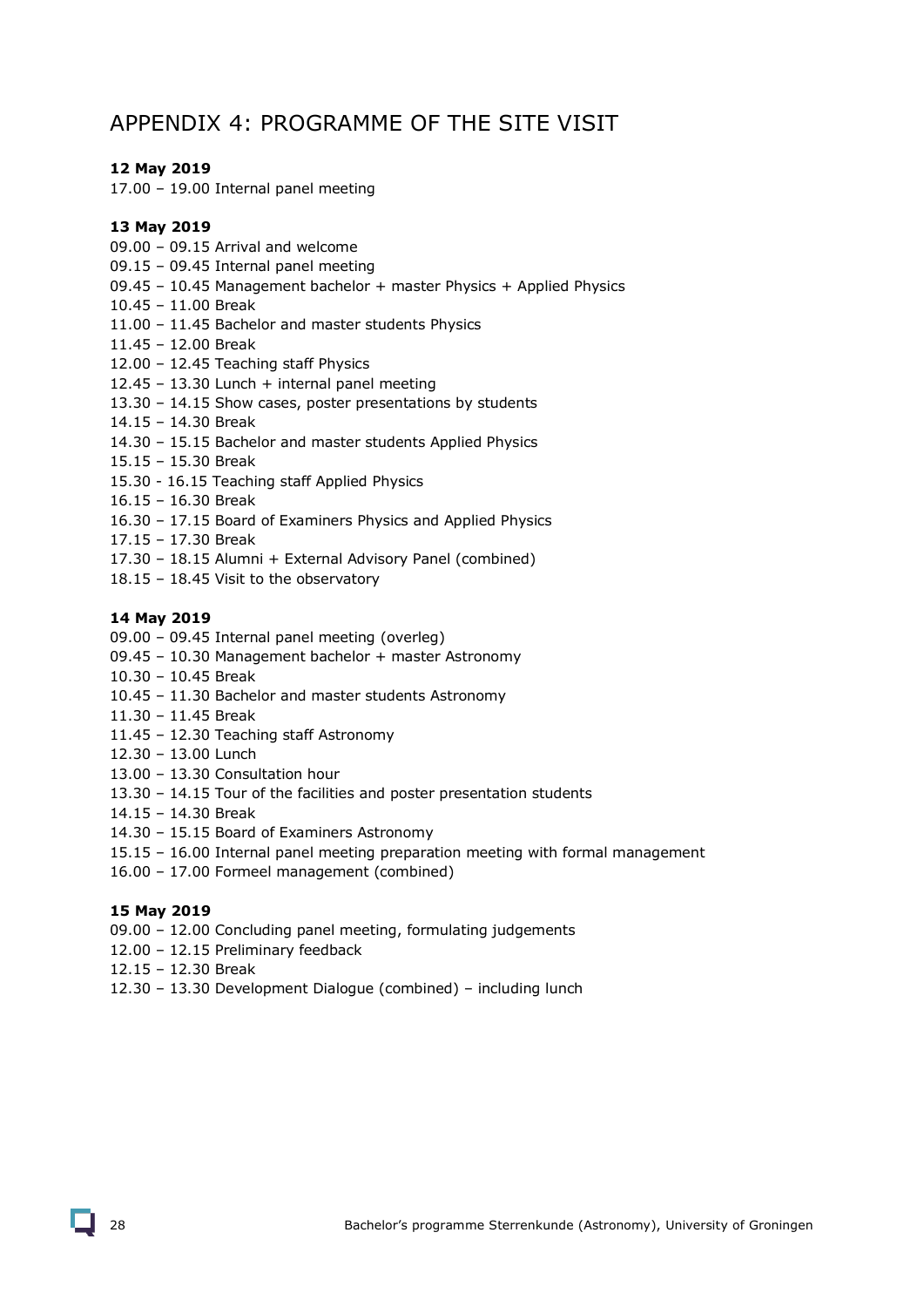### <span id="page-27-0"></span>APPENDIX 4: PROGRAMME OF THE SITE VISIT

#### **12 May 2019**

17.00 – 19.00 Internal panel meeting

#### **13 May 2019**

- 09.00 09.15 Arrival and welcome
- 09.15 09.45 Internal panel meeting
- 09.45 10.45 Management bachelor + master Physics + Applied Physics
- 10.45 11.00 Break
- 11.00 11.45 Bachelor and master students Physics
- 11.45 12.00 Break
- 12.00 12.45 Teaching staff Physics
- 12.45 13.30 Lunch + internal panel meeting
- 13.30 14.15 Show cases, poster presentations by students
- 14.15 14.30 Break
- 14.30 15.15 Bachelor and master students Applied Physics
- 15.15 15.30 Break
- 15.30 16.15 Teaching staff Applied Physics
- 16.15 16.30 Break
- 16.30 17.15 Board of Examiners Physics and Applied Physics
- 17.15 17.30 Break
- 17.30 18.15 Alumni + External Advisory Panel (combined)
- 18.15 18.45 Visit to the observatory

#### **14 May 2019**

- 09.00 09.45 Internal panel meeting (overleg)
- 09.45 10.30 Management bachelor + master Astronomy
- 10.30 10.45 Break
- 10.45 11.30 Bachelor and master students Astronomy
- 11.30 11.45 Break
- 11.45 12.30 Teaching staff Astronomy
- 12.30 13.00 Lunch
- 13.00 13.30 Consultation hour
- 13.30 14.15 Tour of the facilities and poster presentation students
- 14.15 14.30 Break
- 14.30 15.15 Board of Examiners Astronomy
- 15.15 16.00 Internal panel meeting preparation meeting with formal management
- 16.00 17.00 Formeel management (combined)

#### **15 May 2019**

- 09.00 12.00 Concluding panel meeting, formulating judgements
- 12.00 12.15 Preliminary feedback
- 12.15 12.30 Break
- 12.30 13.30 Development Dialogue (combined) including lunch